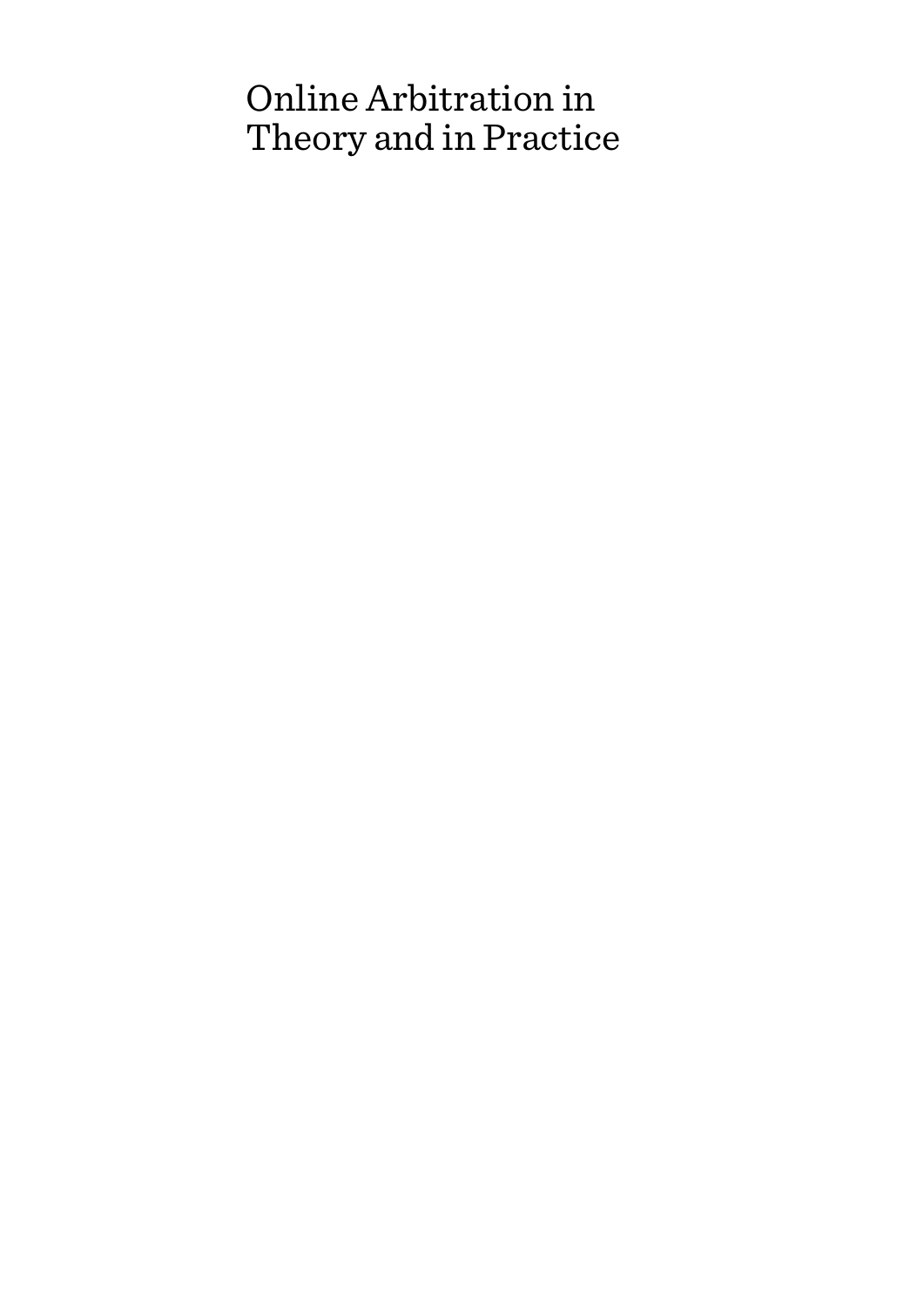# Online Arbitration in Theory and in Practice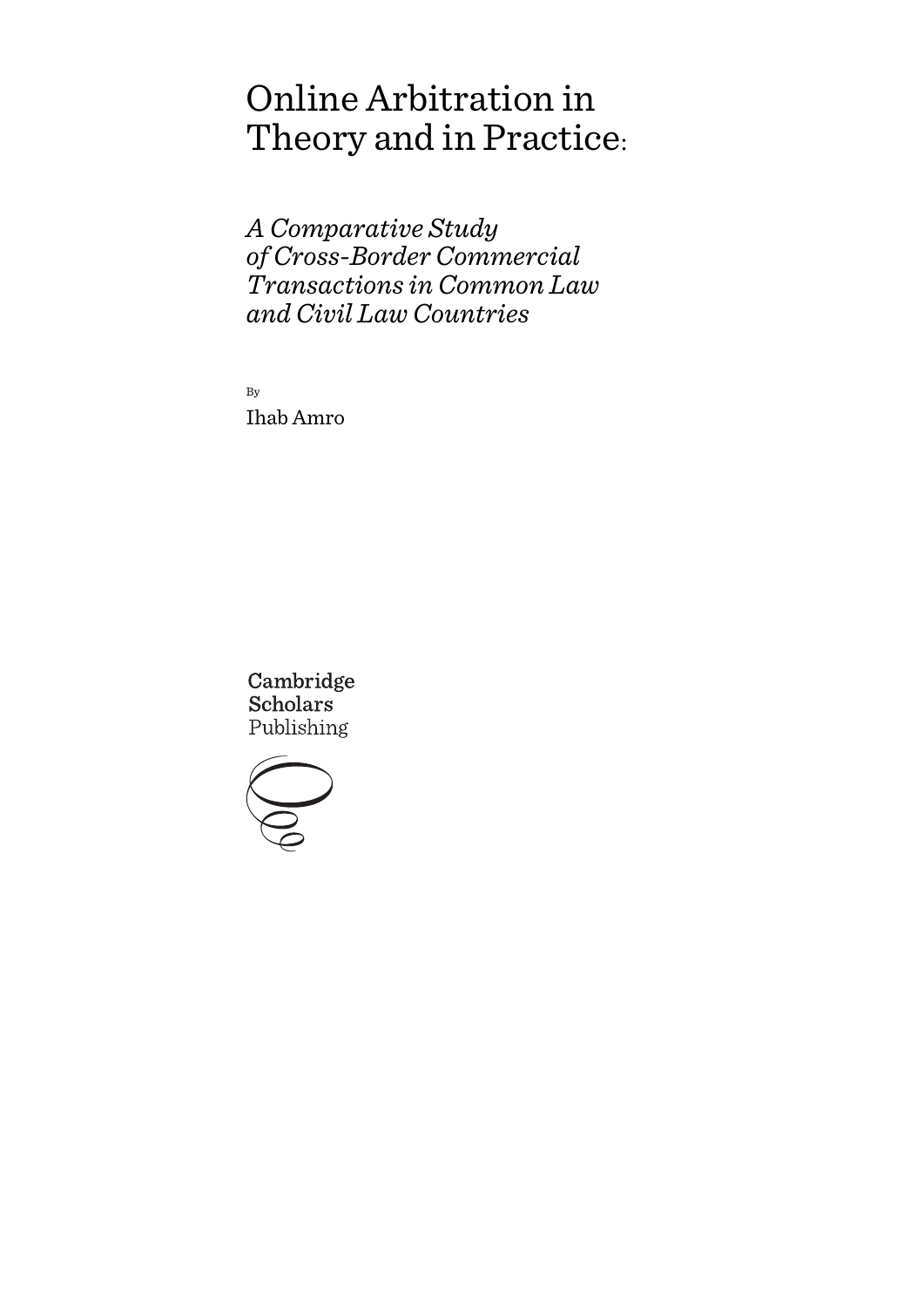# Online Arbitration in Theory and in Practice:

*A Comparative Study of Cross-Border Commercial Transactions in Common Law and Civil Law Countries*

By Ihab Amro

Cambridge **Scholars** Publishing

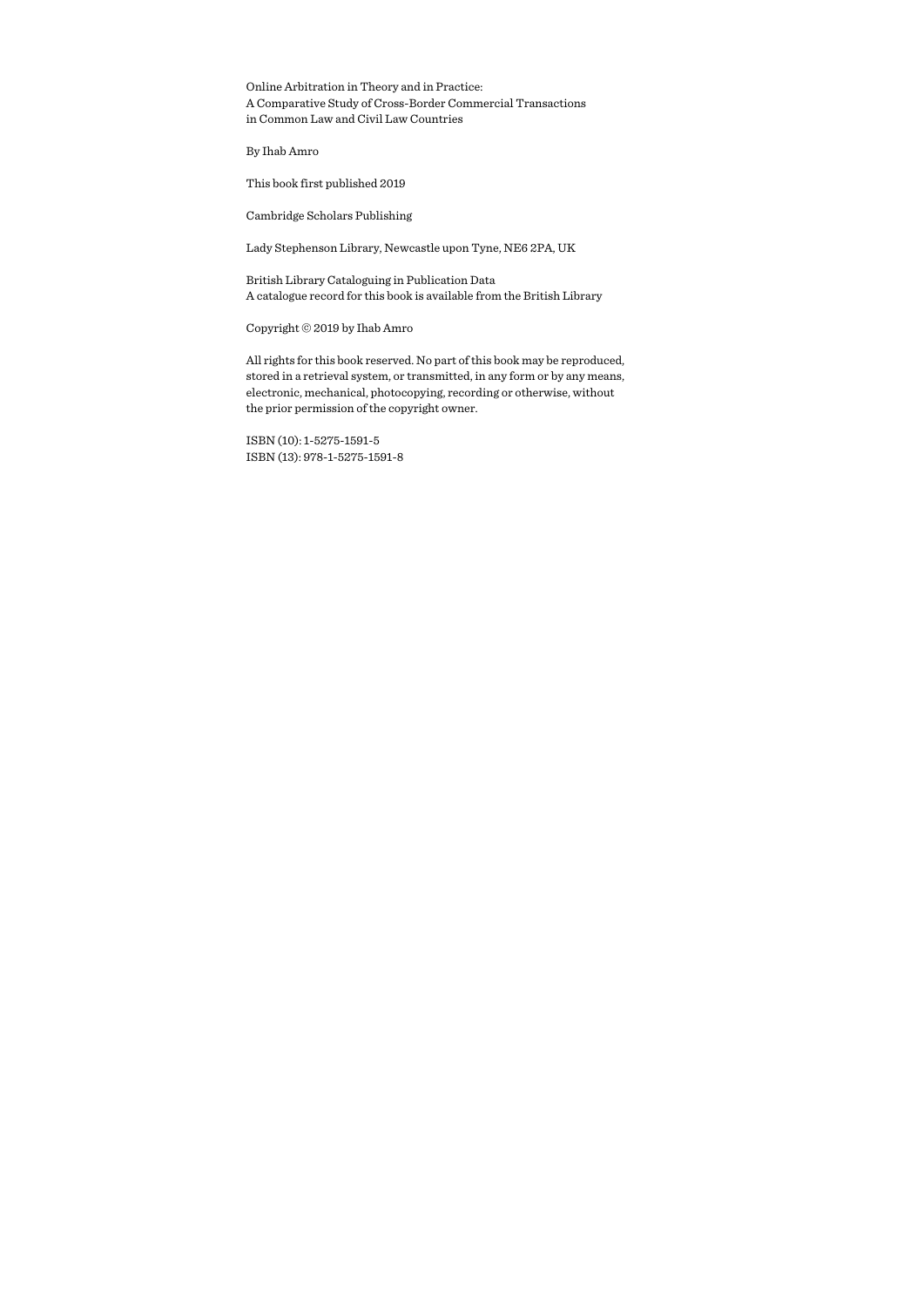Online Arbitration in Theory and in Practice: A Comparative Study of Cross-Border Commercial Transactions in Common Law and Civil Law Countries

By Ihab Amro

This book first published 2019

Cambridge Scholars Publishing

Lady Stephenson Library, Newcastle upon Tyne, NE6 2PA, UK

British Library Cataloguing in Publication Data A catalogue record for this book is available from the British Library

Copyright © 2019 by Ihab Amro

All rights for this book reserved. No part of this book may be reproduced, stored in a retrieval system, or transmitted, in any form or by any means, electronic, mechanical, photocopying, recording or otherwise, without the prior permission of the copyright owner.

ISBN (10): 1-5275-1591-5 ISBN (13): 978-1-5275-1591-8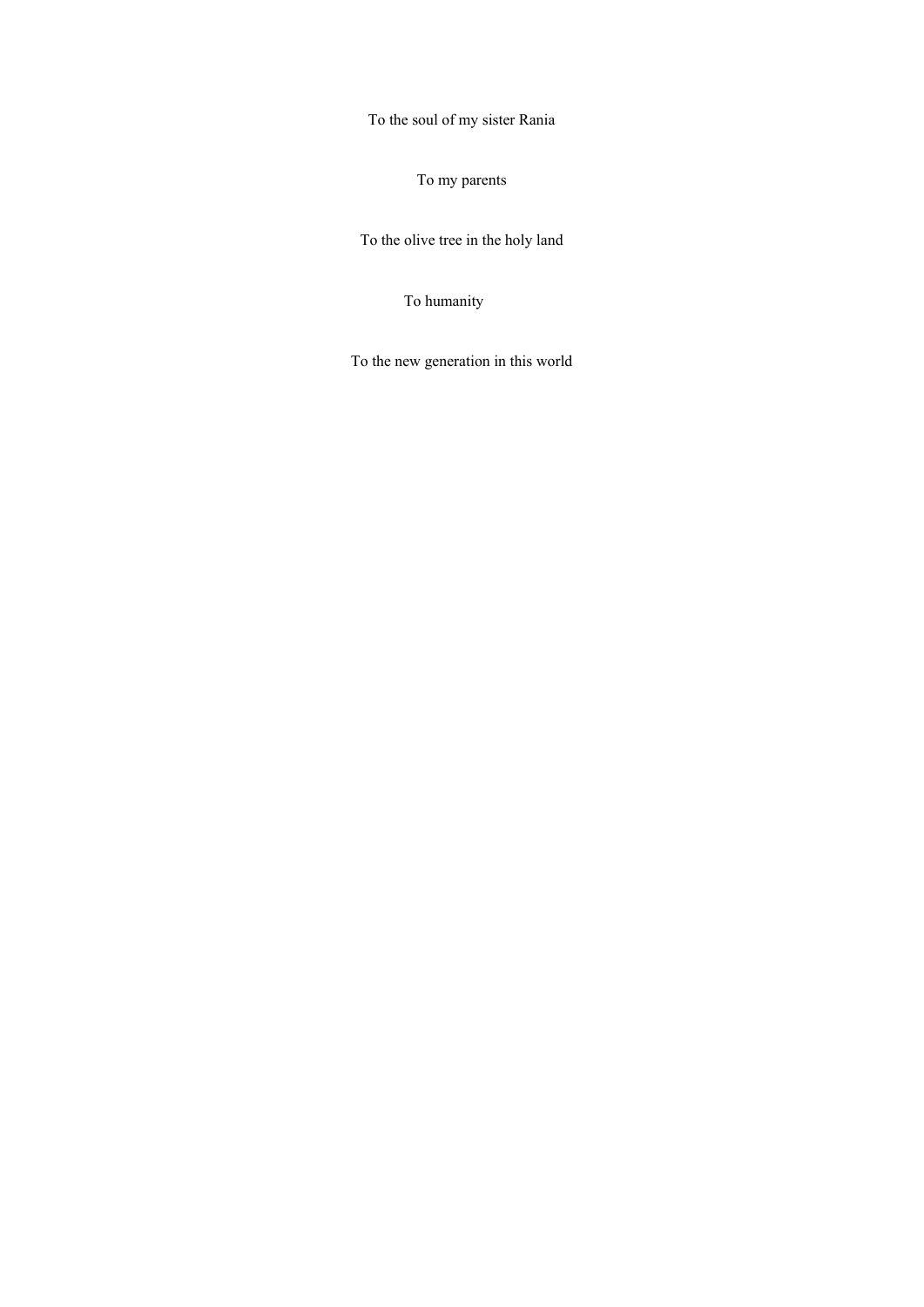To the soul of my sister Rania

To my parents

To the olive tree in the holy land

To humanity

To the new generation in this world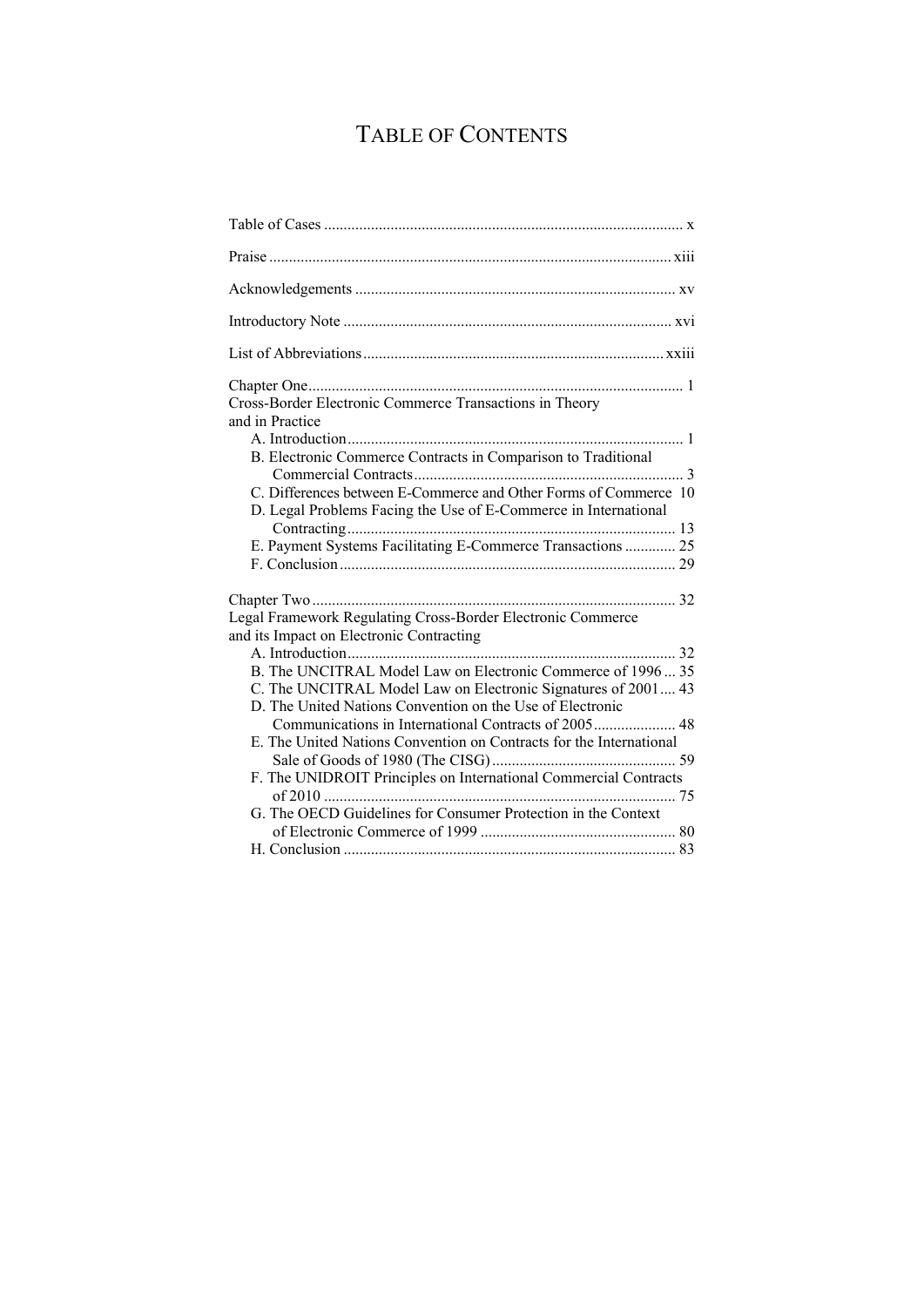# TABLE OF CONTENTS

| Cross-Border Electronic Commerce Transactions in Theory<br>and in Practice                                                                                                                |
|-------------------------------------------------------------------------------------------------------------------------------------------------------------------------------------------|
| B. Electronic Commerce Contracts in Comparison to Traditional                                                                                                                             |
| C. Differences between E-Commerce and Other Forms of Commerce 10<br>D. Legal Problems Facing the Use of E-Commerce in International                                                       |
| E. Payment Systems Facilitating E-Commerce Transactions  25                                                                                                                               |
|                                                                                                                                                                                           |
| Legal Framework Regulating Cross-Border Electronic Commerce<br>and its Impact on Electronic Contracting                                                                                   |
|                                                                                                                                                                                           |
| B. The UNCITRAL Model Law on Electronic Commerce of 1996 35<br>C. The UNCITRAL Model Law on Electronic Signatures of 2001 43<br>D. The United Nations Convention on the Use of Electronic |
|                                                                                                                                                                                           |
| E. The United Nations Convention on Contracts for the International                                                                                                                       |
| F. The UNIDROIT Principles on International Commercial Contracts                                                                                                                          |
| G. The OECD Guidelines for Consumer Protection in the Context                                                                                                                             |
|                                                                                                                                                                                           |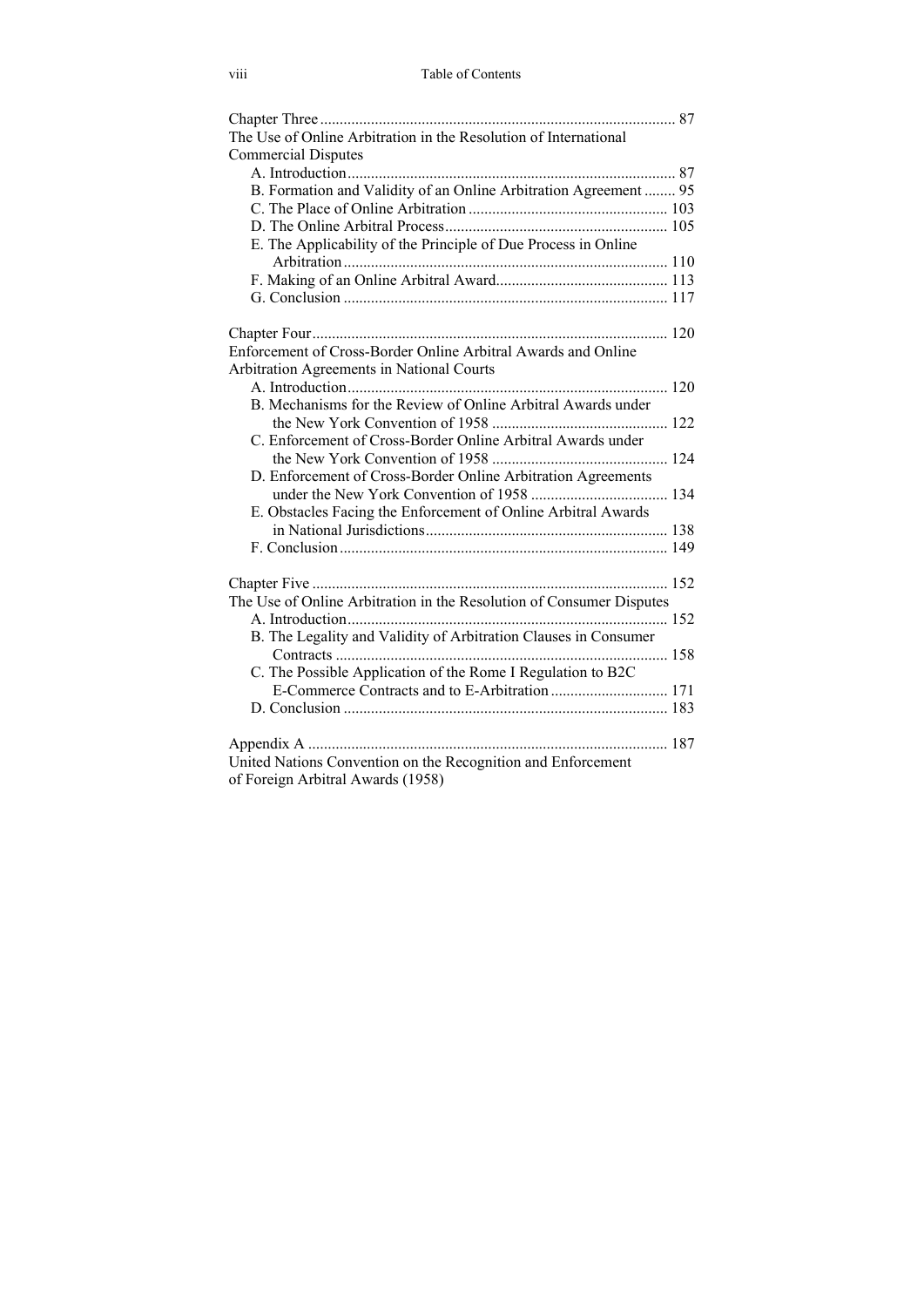| The Use of Online Arbitration in the Resolution of International     |
|----------------------------------------------------------------------|
| <b>Commercial Disputes</b>                                           |
|                                                                      |
| B. Formation and Validity of an Online Arbitration Agreement  95     |
|                                                                      |
|                                                                      |
| E. The Applicability of the Principle of Due Process in Online       |
|                                                                      |
|                                                                      |
|                                                                      |
|                                                                      |
|                                                                      |
| Enforcement of Cross-Border Online Arbitral Awards and Online        |
| Arbitration Agreements in National Courts                            |
|                                                                      |
| B. Mechanisms for the Review of Online Arbitral Awards under         |
|                                                                      |
| C. Enforcement of Cross-Border Online Arbitral Awards under          |
|                                                                      |
| D. Enforcement of Cross-Border Online Arbitration Agreements         |
|                                                                      |
| E. Obstacles Facing the Enforcement of Online Arbitral Awards        |
|                                                                      |
|                                                                      |
|                                                                      |
|                                                                      |
| The Use of Online Arbitration in the Resolution of Consumer Disputes |
|                                                                      |
|                                                                      |
| B. The Legality and Validity of Arbitration Clauses in Consumer      |
|                                                                      |
| C. The Possible Application of the Rome I Regulation to B2C          |
|                                                                      |
|                                                                      |
|                                                                      |
| United Nations Convention on the Recognition and Enforcement         |
|                                                                      |
| of Foreign Arbitral Awards (1958)                                    |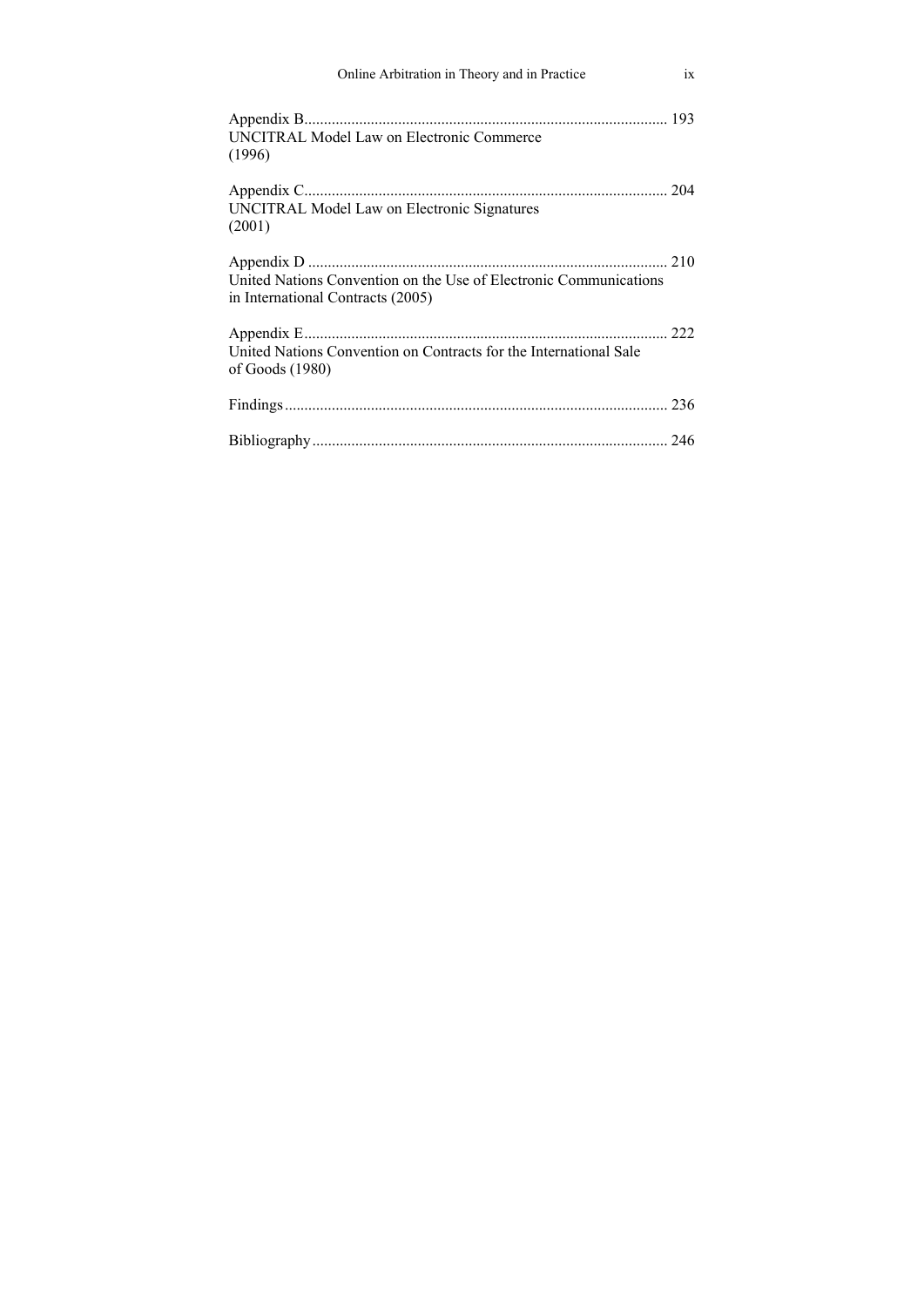| Online Arbitration in Theory and in Practice                                                           | ix |
|--------------------------------------------------------------------------------------------------------|----|
| <b>UNCITRAL Model Law on Electronic Commerce</b><br>(1996)                                             |    |
| UNCITRAL Model Law on Electronic Signatures<br>(2001)                                                  |    |
| United Nations Convention on the Use of Electronic Communications<br>in International Contracts (2005) |    |
| United Nations Convention on Contracts for the International Sale<br>of Goods $(1980)$                 |    |
|                                                                                                        |    |
|                                                                                                        |    |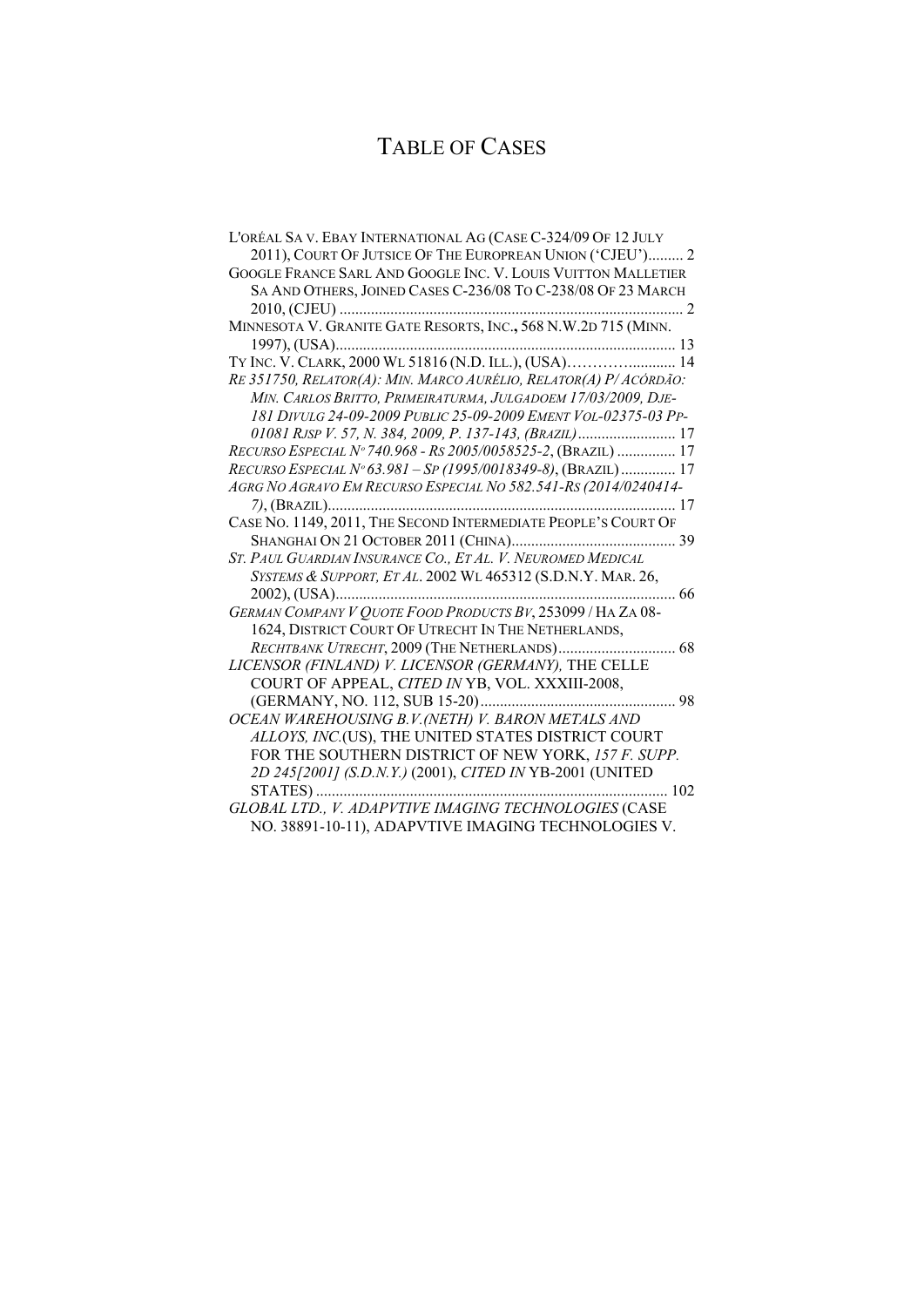## TABLE OF CASES

| L'ORÉAL SA V. EBAY INTERNATIONAL AG (CASE C-324/09 OF 12 JULY    |
|------------------------------------------------------------------|
| 2011), COURT OF JUTSICE OF THE EUROPREAN UNION ('CJEU') 2        |
| GOOGLE FRANCE SARL AND GOOGLE INC. V. LOUIS VUITTON MALLETIER    |
| SA AND OTHERS, JOINED CASES C-236/08 To C-238/08 OF 23 MARCH     |
|                                                                  |
| MINNESOTA V. GRANITE GATE RESORTS, INC., 568 N.W.2D 715 (MINN.   |
|                                                                  |
|                                                                  |
| RE 351750, RELATOR(A): MIN. MARCO AURÉLIO, RELATOR(A) P/ACÓRDÃO: |
| MIN. CARLOS BRITTO, PRIMEIRATURMA, JULGADOEM 17/03/2009, DJE-    |
| 181 DIVULG 24-09-2009 PUBLIC 25-09-2009 EMENT VOL-02375-03 PP-   |
|                                                                  |
| RECURSO ESPECIAL Nº 740.968 - RS 2005/0058525-2, (BRAZIL)  17    |
| RECURSO ESPECIAL Nº 63.981 - SP (1995/0018349-8), (BRAZIL)  17   |
| AGRG NO AGRAVO EM RECURSO ESPECIAL NO 582.541-RS (2014/0240414-  |
|                                                                  |
| CASE No. 1149, 2011, THE SECOND INTERMEDIATE PEOPLE'S COURT OF   |
|                                                                  |
| ST. PAUL GUARDIAN INSURANCE CO., ET AL. V. NEUROMED MEDICAL      |
| SYSTEMS & SUPPORT, ET AL. 2002 WL 465312 (S.D.N.Y. MAR. 26,      |
| . 66                                                             |
| GERMAN COMPANY V QUOTE FOOD PRODUCTS BV, 253099 / HA ZA 08-      |
| 1624, DISTRICT COURT OF UTRECHT IN THE NETHERLANDS,              |
| RECHTBANK UTRECHT, 2009 (THE NETHERLANDS) 68                     |
| LICENSOR (FINLAND) V. LICENSOR (GERMANY), THE CELLE              |
| COURT OF APPEAL, CITED IN YB, VOL. XXXIII-2008,                  |
|                                                                  |
| OCEAN WAREHOUSING B.V.(NETH) V. BARON METALS AND                 |
| ALLOYS, INC.(US), THE UNITED STATES DISTRICT COURT               |
| FOR THE SOUTHERN DISTRICT OF NEW YORK, 157 F. SUPP.              |
| 2D 245[2001] (S.D.N.Y.) (2001), CITED IN YB-2001 (UNITED         |
|                                                                  |
| GLOBAL LTD., V. ADAPVTIVE IMAGING TECHNOLOGIES (CASE             |
| NO. 38891-10-11), ADAPVTIVE IMAGING TECHNOLOGIES V.              |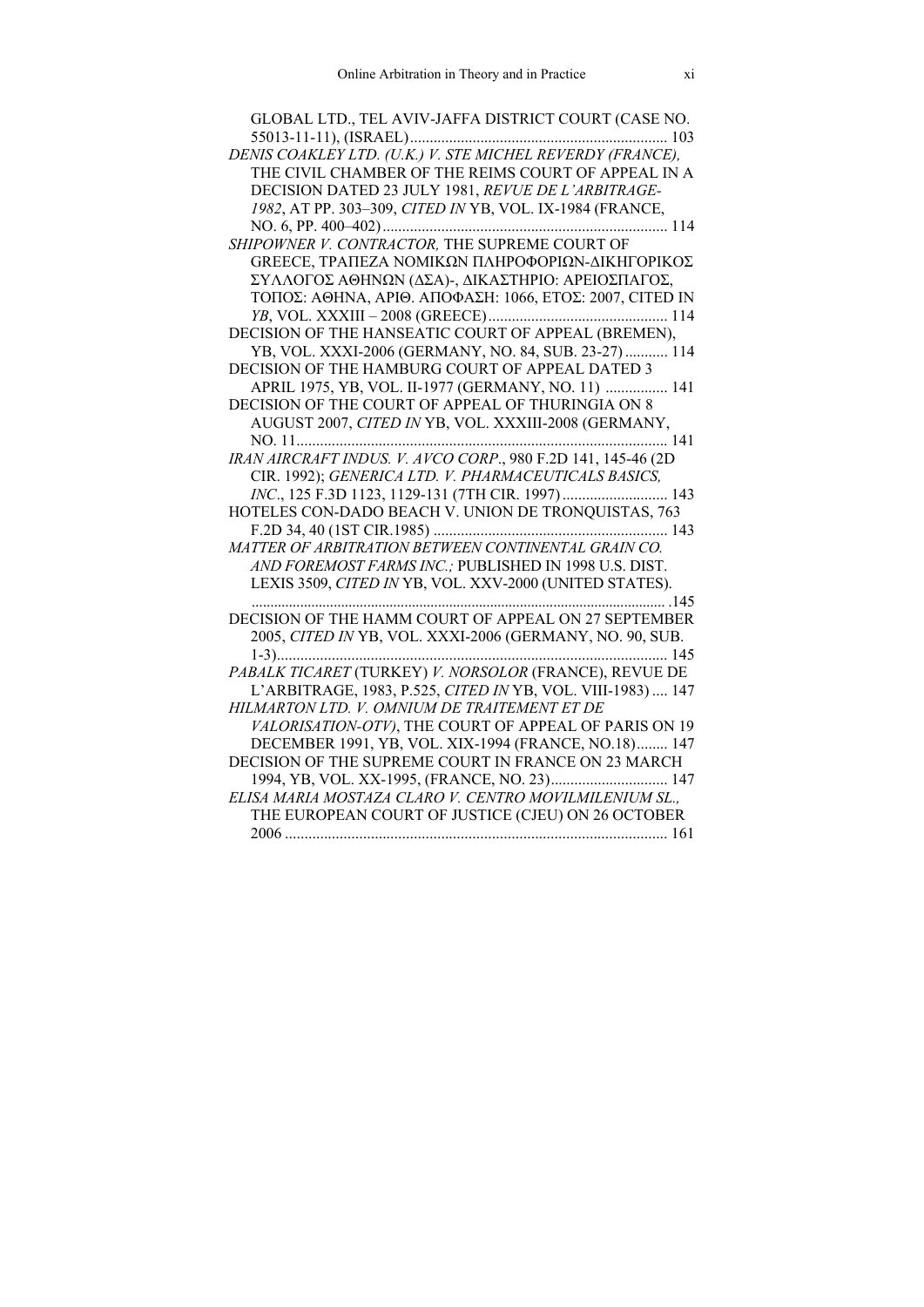| GLOBAL LTD., TEL AVIV-JAFFA DISTRICT COURT (CASE NO.        |
|-------------------------------------------------------------|
|                                                             |
|                                                             |
| THE CIVIL CHAMBER OF THE REIMS COURT OF APPEAL IN A         |
| DECISION DATED 23 JULY 1981, REVUE DE L'ARBITRAGE-          |
| 1982, AT PP. 303-309, CITED IN YB, VOL. IX-1984 (FRANCE,    |
|                                                             |
| SHIPOWNER V. CONTRACTOR, THE SUPREME COURT OF               |
| <b>GREECE, ΤΡΑΠΕΖΑ ΝΟΜΙΚΩΝ ΠΛΗΡΟΦΟΡΙΩΝ-ΔΙΚΗΓΟΡΙΚΟΣ</b>      |
| ΣΥΛΛΟΓΟΣ ΑΘΗΝΩΝ (ΔΣΑ)-, ΔΙΚΑΣΤΗΡΙΟ: ΑΡΕΙΟΣΠΑΓΟΣ,            |
| ΤΟΠΟΣ: ΑΘΗΝΑ, ΑΡΙΘ. ΑΠΟΦΑΣΗ: 1066, ΕΤΟΣ: 2007, CITED IN     |
|                                                             |
| DECISION OF THE HANSEATIC COURT OF APPEAL (BREMEN),         |
| YB, VOL. XXXI-2006 (GERMANY, NO. 84, SUB. 23-27)  114       |
| DECISION OF THE HAMBURG COURT OF APPEAL DATED 3             |
| APRIL 1975, YB, VOL. II-1977 (GERMANY, NO. 11)  141         |
| DECISION OF THE COURT OF APPEAL OF THURINGIA ON 8           |
| AUGUST 2007, CITED IN YB, VOL. XXXIII-2008 (GERMANY,        |
|                                                             |
|                                                             |
| CIR. 1992); GENERICA LTD. V. PHARMACEUTICALS BASICS,        |
| INC., 125 F.3D 1123, 1129-131 (7TH CIR. 1997) 143           |
| HOTELES CON-DADO BEACH V. UNION DE TRONQUISTAS, 763         |
|                                                             |
| MATTER OF ARBITRATION BETWEEN CONTINENTAL GRAIN CO.         |
| AND FOREMOST FARMS INC.; PUBLISHED IN 1998 U.S. DIST.       |
| LEXIS 3509, CITED IN YB, VOL. XXV-2000 (UNITED STATES).     |
|                                                             |
| DECISION OF THE HAMM COURT OF APPEAL ON 27 SEPTEMBER        |
| 2005, CITED IN YB, VOL. XXXI-2006 (GERMANY, NO. 90, SUB.    |
|                                                             |
|                                                             |
| L'ARBITRAGE, 1983, P.525, CITED IN YB, VOL. VIII-1983)  147 |
| HILMARTON LTD. V. OMNIUM DE TRAITEMENT ET DE                |
| VALORISATION-OTV), THE COURT OF APPEAL OF PARIS ON 19       |
| DECEMBER 1991, YB, VOL. XIX-1994 (FRANCE, NO.18) 147        |
| DECISION OF THE SUPREME COURT IN FRANCE ON 23 MARCH         |
| 1994, YB, VOL. XX-1995, (FRANCE, NO. 23) 147                |
| ELISA MARIA MOSTAZA CLARO V. CENTRO MOVILMILENIUM SL.,      |
| THE EUROPEAN COURT OF JUSTICE (CJEU) ON 26 OCTOBER          |
|                                                             |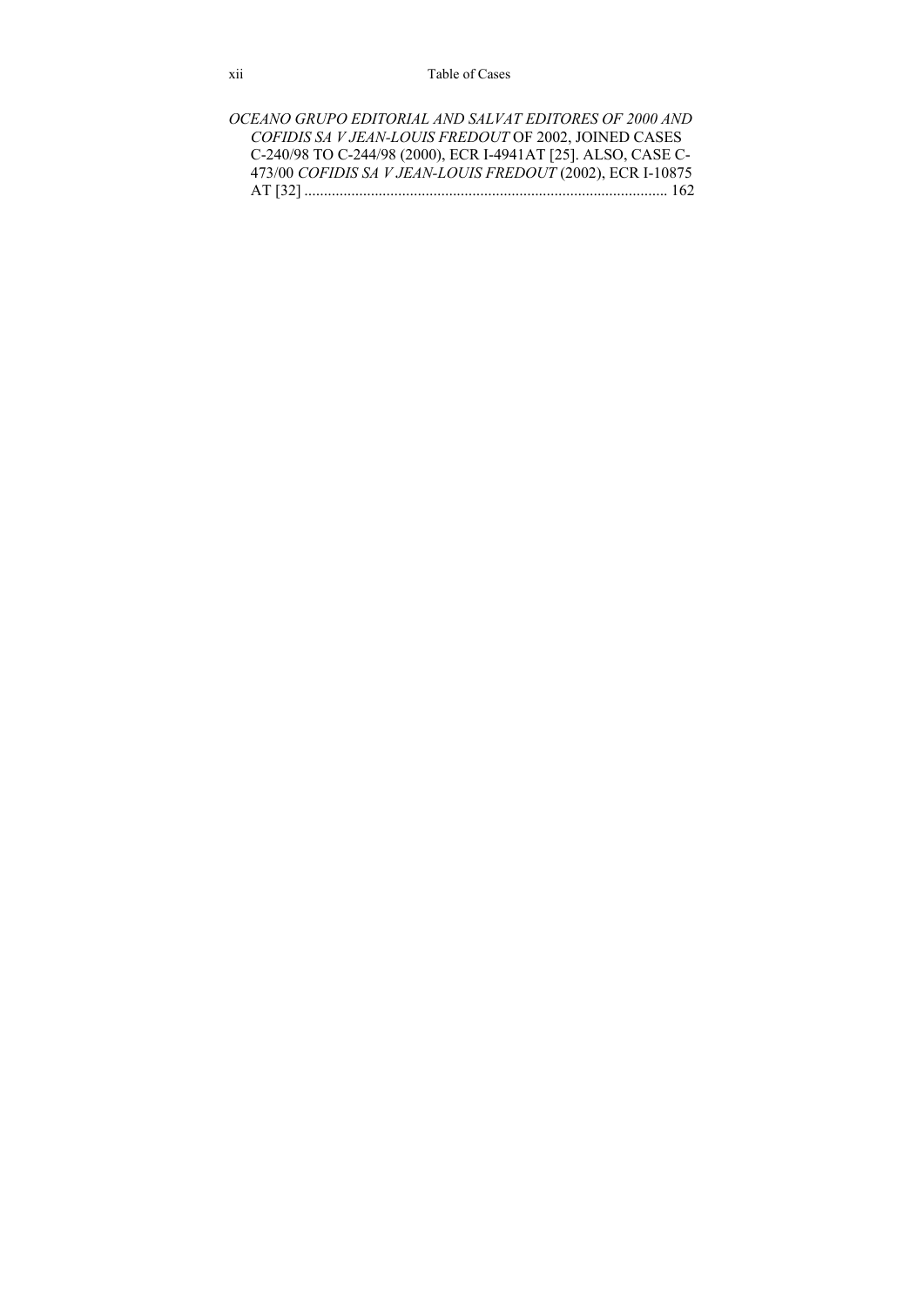*OCEANO GRUPO EDITORIAL AND SALVAT EDITORES OF 2000 AND COFIDIS SA V JEAN-LOUIS FREDOUT* OF 2002, JOINED CASES C-240/98 TO C-244/98 (2000), ECR I-4941AT [25]. ALSO, CASE C-473/00 *COFIDIS SA V JEAN-LOUIS FREDOUT* (2002), ECR I-10875 AT [32] ............................................................................................. 162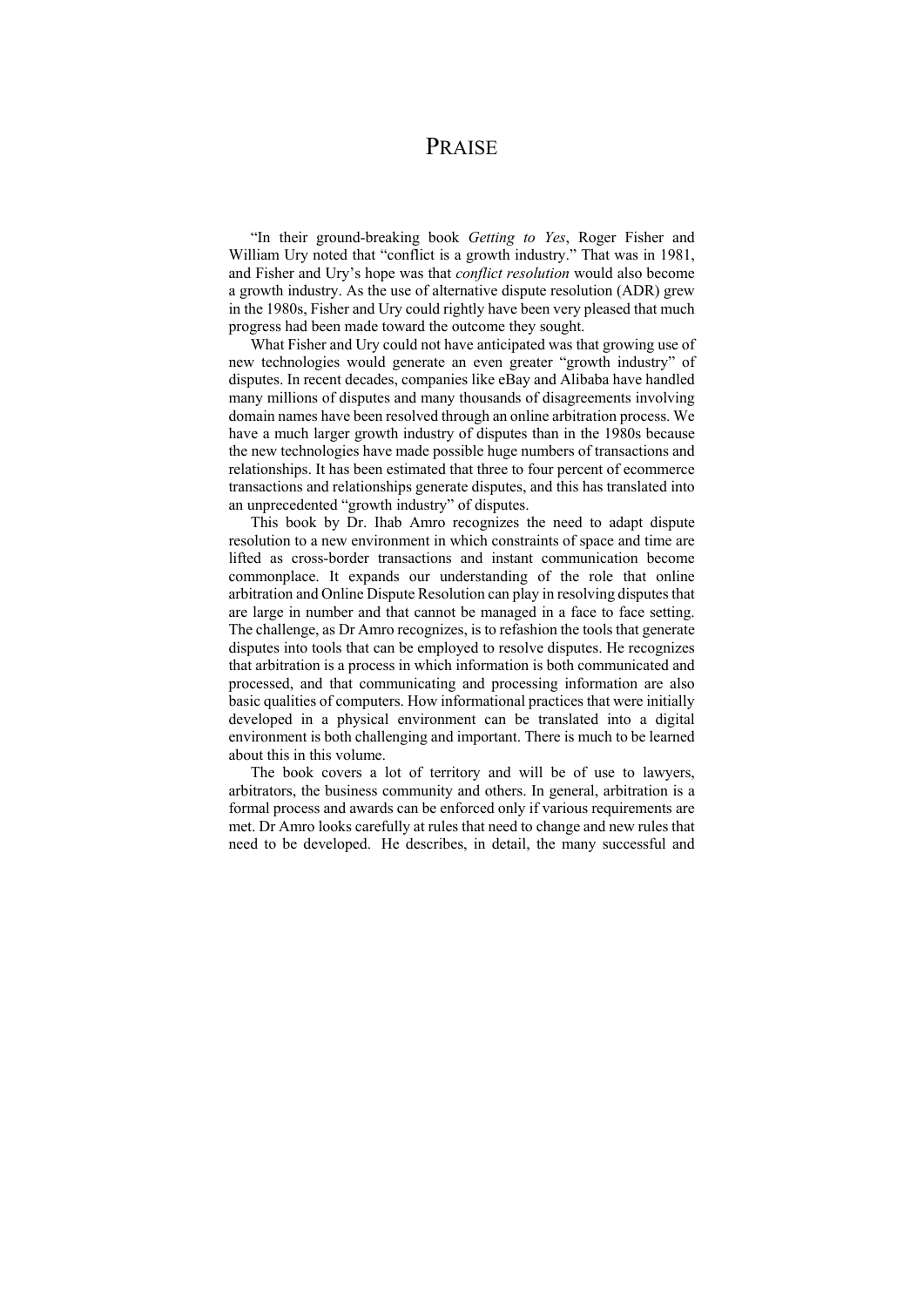### **PRAISE**

"In their ground-breaking book *Getting to Yes*, Roger Fisher and William Ury noted that "conflict is a growth industry." That was in 1981, and Fisher and Ury's hope was that *conflict resolution* would also become a growth industry. As the use of alternative dispute resolution (ADR) grew in the 1980s, Fisher and Ury could rightly have been very pleased that much progress had been made toward the outcome they sought.

What Fisher and Ury could not have anticipated was that growing use of new technologies would generate an even greater "growth industry" of disputes. In recent decades, companies like eBay and Alibaba have handled many millions of disputes and many thousands of disagreements involving domain names have been resolved through an online arbitration process. We have a much larger growth industry of disputes than in the 1980s because the new technologies have made possible huge numbers of transactions and relationships. It has been estimated that three to four percent of ecommerce transactions and relationships generate disputes, and this has translated into an unprecedented "growth industry" of disputes.

This book by Dr. Ihab Amro recognizes the need to adapt dispute resolution to a new environment in which constraints of space and time are lifted as cross-border transactions and instant communication become commonplace. It expands our understanding of the role that online arbitration and Online Dispute Resolution can play in resolving disputes that are large in number and that cannot be managed in a face to face setting. The challenge, as Dr Amro recognizes, is to refashion the tools that generate disputes into tools that can be employed to resolve disputes. He recognizes that arbitration is a process in which information is both communicated and processed, and that communicating and processing information are also basic qualities of computers. How informational practices that were initially developed in a physical environment can be translated into a digital environment is both challenging and important. There is much to be learned about this in this volume.

The book covers a lot of territory and will be of use to lawyers, arbitrators, the business community and others. In general, arbitration is a formal process and awards can be enforced only if various requirements are met. Dr Amro looks carefully at rules that need to change and new rules that need to be developed. He describes, in detail, the many successful and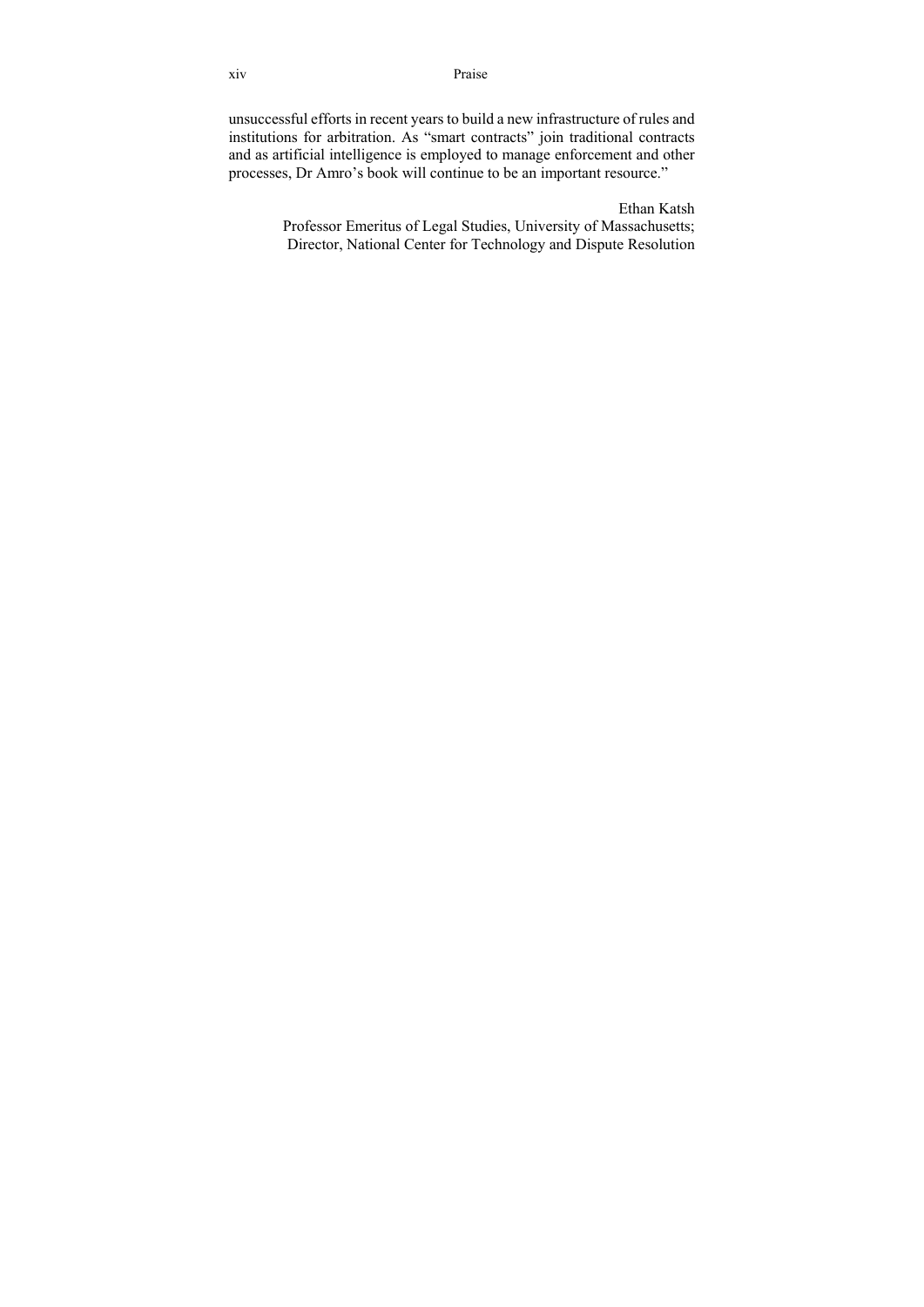xiv Praise

unsuccessful efforts in recent years to build a new infrastructure of rules and institutions for arbitration. As "smart contracts" join traditional contracts and as artificial intelligence is employed to manage enforcement and other processes, Dr Amro's book will continue to be an important resource."

> Ethan Katsh Professor Emeritus of Legal Studies, University of Massachusetts; Director, National Center for Technology and Dispute Resolution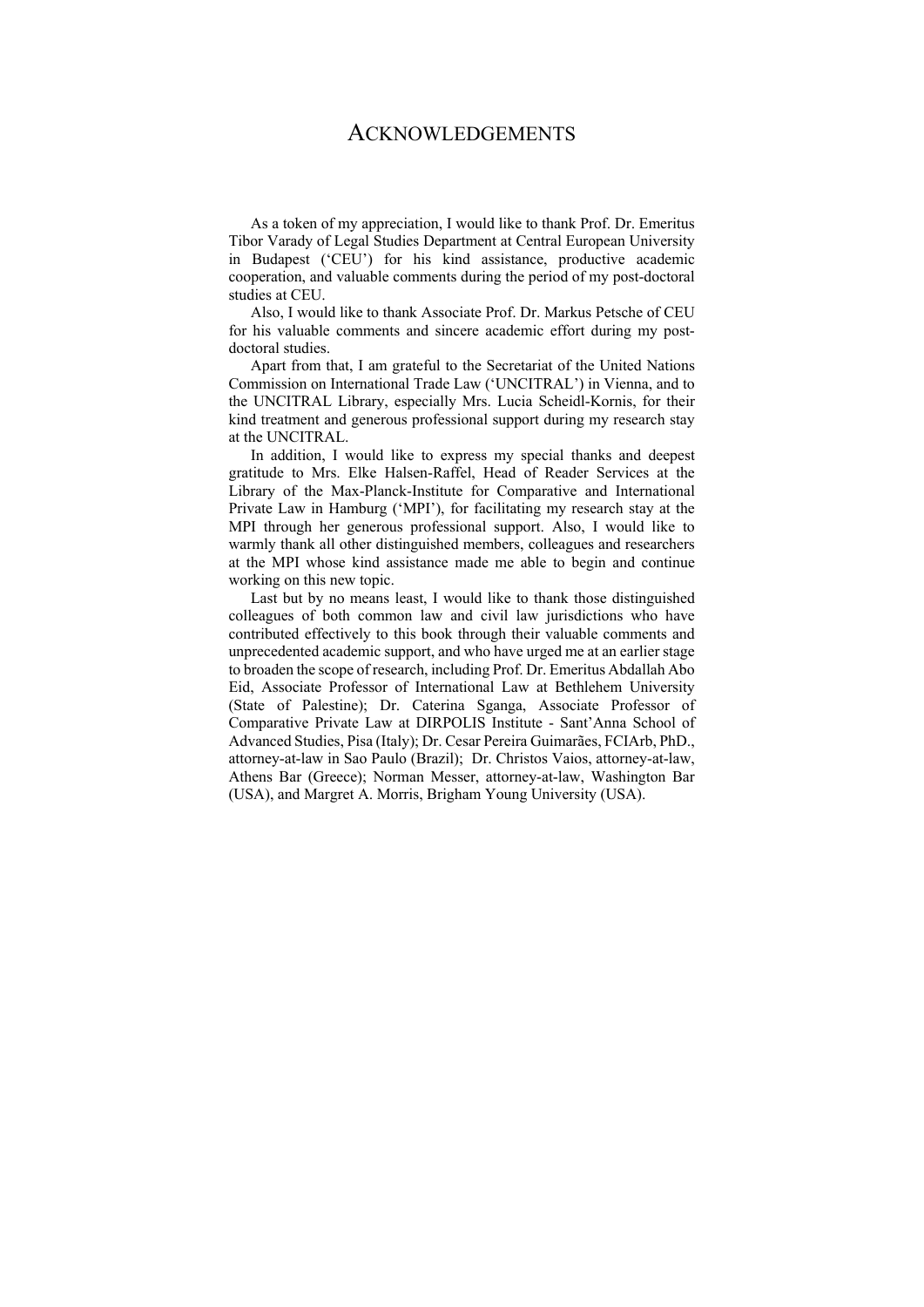#### ACKNOWLEDGEMENTS

As a token of my appreciation, I would like to thank Prof. Dr. Emeritus Tibor Varady of Legal Studies Department at Central European University in Budapest ('CEU') for his kind assistance, productive academic cooperation, and valuable comments during the period of my post-doctoral studies at CEU.

Also, I would like to thank Associate Prof. Dr. Markus Petsche of CEU for his valuable comments and sincere academic effort during my postdoctoral studies.

Apart from that, I am grateful to the Secretariat of the United Nations Commission on International Trade Law ('UNCITRAL') in Vienna, and to the UNCITRAL Library, especially Mrs. Lucia Scheidl-Kornis, for their kind treatment and generous professional support during my research stay at the UNCITRAL.

In addition, I would like to express my special thanks and deepest gratitude to Mrs. Elke Halsen-Raffel, Head of Reader Services at the Library of the Max-Planck-Institute for Comparative and International Private Law in Hamburg ('MPI'), for facilitating my research stay at the MPI through her generous professional support. Also, I would like to warmly thank all other distinguished members, colleagues and researchers at the MPI whose kind assistance made me able to begin and continue working on this new topic.

Last but by no means least, I would like to thank those distinguished colleagues of both common law and civil law jurisdictions who have contributed effectively to this book through their valuable comments and unprecedented academic support, and who have urged me at an earlier stage to broaden the scope of research, including Prof. Dr. Emeritus Abdallah Abo Eid, Associate Professor of International Law at Bethlehem University (State of Palestine); Dr. Caterina Sganga, Associate Professor of Comparative Private Law at DIRPOLIS Institute - Sant'Anna School of Advanced Studies, Pisa (Italy); Dr. Cesar Pereira Guimarães, FCIArb, PhD., attorney-at-law in Sao Paulo (Brazil); Dr. Christos Vaios, attorney-at-law, Athens Bar (Greece); Norman Messer, attorney-at-law, Washington Bar (USA), and Margret A. Morris, Brigham Young University (USA).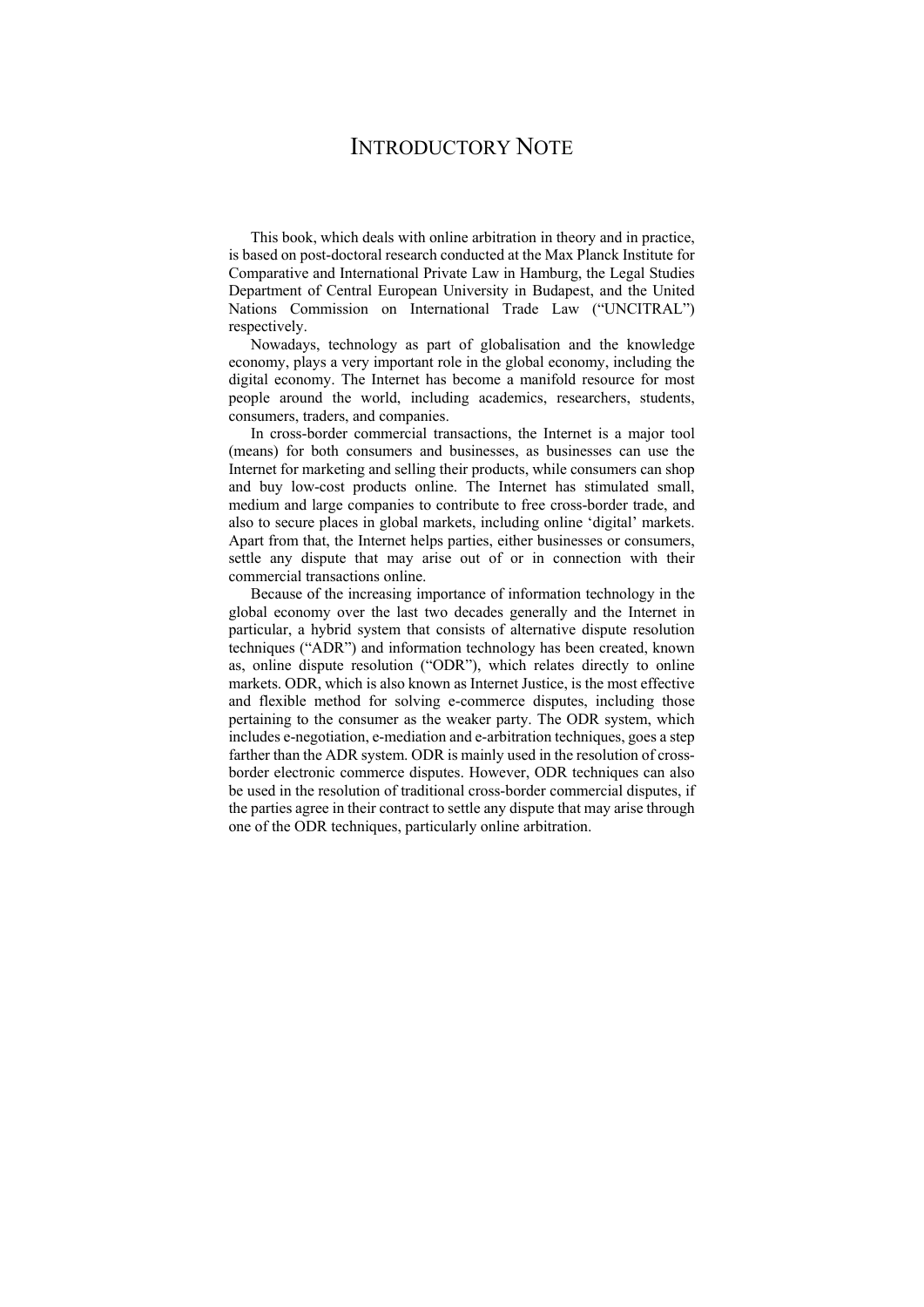## INTRODUCTORY NOTE

This book, which deals with online arbitration in theory and in practice, is based on post-doctoral research conducted at the Max Planck Institute for Comparative and International Private Law in Hamburg, the Legal Studies Department of Central European University in Budapest, and the United Nations Commission on International Trade Law ("UNCITRAL") respectively.

Nowadays, technology as part of globalisation and the knowledge economy, plays a very important role in the global economy, including the digital economy. The Internet has become a manifold resource for most people around the world, including academics, researchers, students, consumers, traders, and companies.

In cross-border commercial transactions, the Internet is a major tool (means) for both consumers and businesses, as businesses can use the Internet for marketing and selling their products, while consumers can shop and buy low-cost products online. The Internet has stimulated small, medium and large companies to contribute to free cross-border trade, and also to secure places in global markets, including online 'digital' markets. Apart from that, the Internet helps parties, either businesses or consumers, settle any dispute that may arise out of οr in connection with their commercial transactions online.

Because of the increasing importance of information technology in the global economy over the last two decades generally and the Internet in particular, a hybrid system that consists of alternative dispute resolution techniques ("ADR") and information technology has been created, known as, online dispute resolution ("ODR"), which relates directly to online markets. ODR, which is also known as Internet Justice, is the most effective and flexible method for solving e-commerce disputes, including those pertaining to the consumer as the weaker party. The ODR system, which includes e-negotiation, e-mediation and e-arbitration techniques, goes a step farther than the ADR system. ODR is mainly used in the resolution of crossborder electronic commerce disputes. However, ODR techniques can also be used in the resolution of traditional cross-border commercial disputes, if the parties agree in their contract to settle any dispute that may arise through one of the ODR techniques, particularly online arbitration.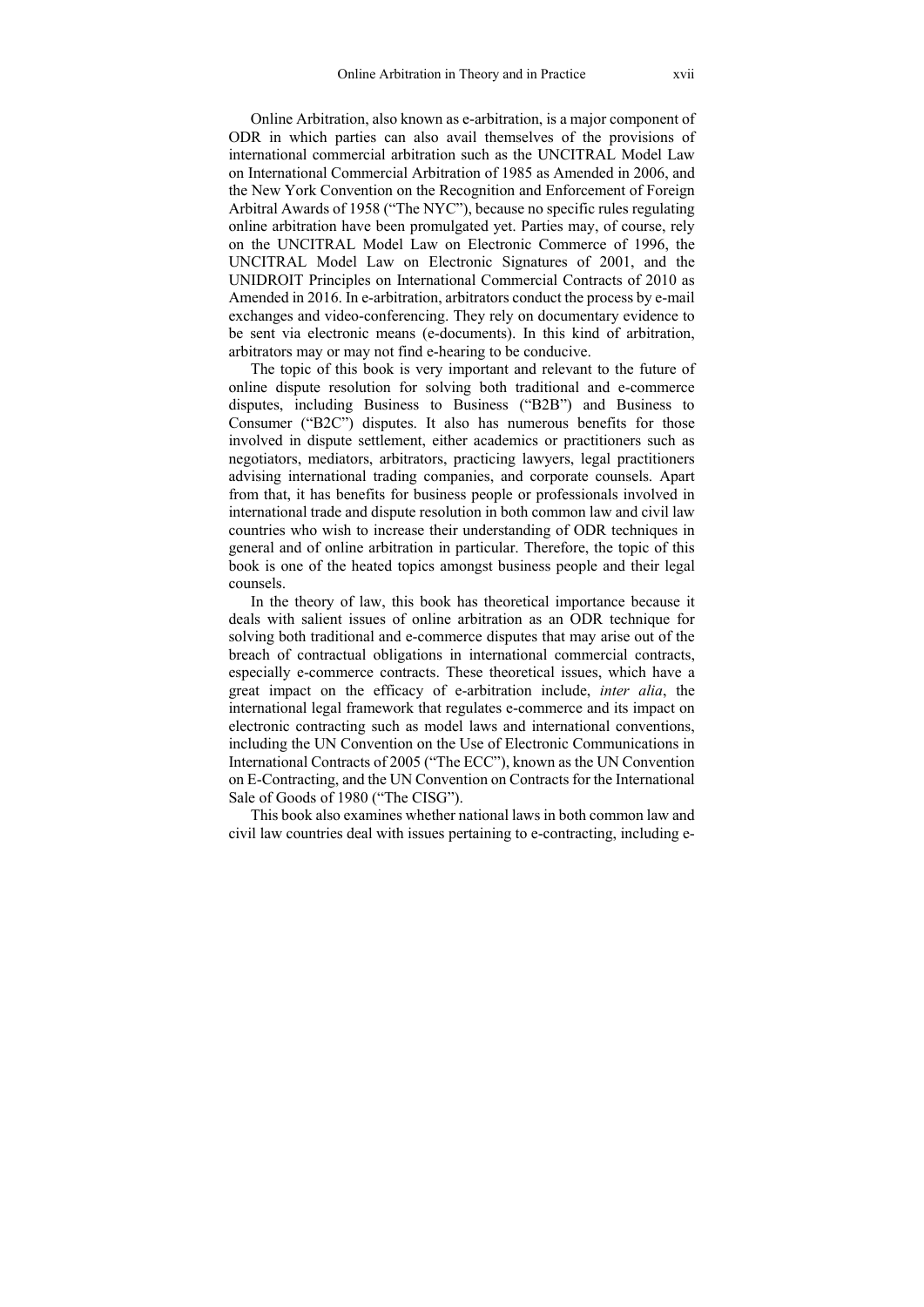Online Arbitration, also known as e-arbitration, is a major component of ODR in which parties can also avail themselves of the provisions of international commercial arbitration such as the UNCITRAL Model Law on International Commercial Arbitration of 1985 as Amended in 2006, and the New York Convention on the Recognition and Enforcement of Foreign Arbitral Awards of 1958 ("The NYC"), because no specific rules regulating online arbitration have been promulgated yet. Parties may, of course, rely on the UNCITRAL Model Law on Electronic Commerce of 1996, the UNCITRAL Model Law on Electronic Signatures of 2001, and the UNIDROIT Principles on International Commercial Contracts of 2010 as Amended in 2016. In e-arbitration, arbitrators conduct the process by e-mail exchanges and video-conferencing. They rely on documentary evidence to be sent via electronic means (e-documents). In this kind of arbitration, arbitrators may or may not find e-hearing to be conducive.

The topic of this book is very important and relevant to the future of online dispute resolution for solving both traditional and e-commerce disputes, including Business to Business ("B2B") and Business to Consumer ("B2C") disputes. It also has numerous benefits for those involved in dispute settlement, either academics or practitioners such as negotiators, mediators, arbitrators, practicing lawyers, legal practitioners advising international trading companies, and corporate counsels. Apart from that, it has benefits for business people or professionals involved in international trade and dispute resolution in both common law and civil law countries who wish to increase their understanding of ODR techniques in general and of online arbitration in particular. Therefore, the topic of this book is one of the heated topics amongst business people and their legal counsels.

In the theory of law, this book has theoretical importance because it deals with salient issues of online arbitration as an ODR technique for solving both traditional and e-commerce disputes that may arise out of the breach of contractual obligations in international commercial contracts, especially e-commerce contracts. These theoretical issues, which have a great impact on the efficacy of e-arbitration include, *inter alia*, the international legal framework that regulates e-commerce and its impact on electronic contracting such as model laws and international conventions, including the UN Convention on the Use of Electronic Communications in International Contracts of 2005 ("The ECC"), known as the UN Convention on E-Contracting, and the UN Convention on Contracts for the International Sale of Goods of 1980 ("The CISG").

This book also examines whether national laws in both common law and civil law countries deal with issues pertaining to e-contracting, including e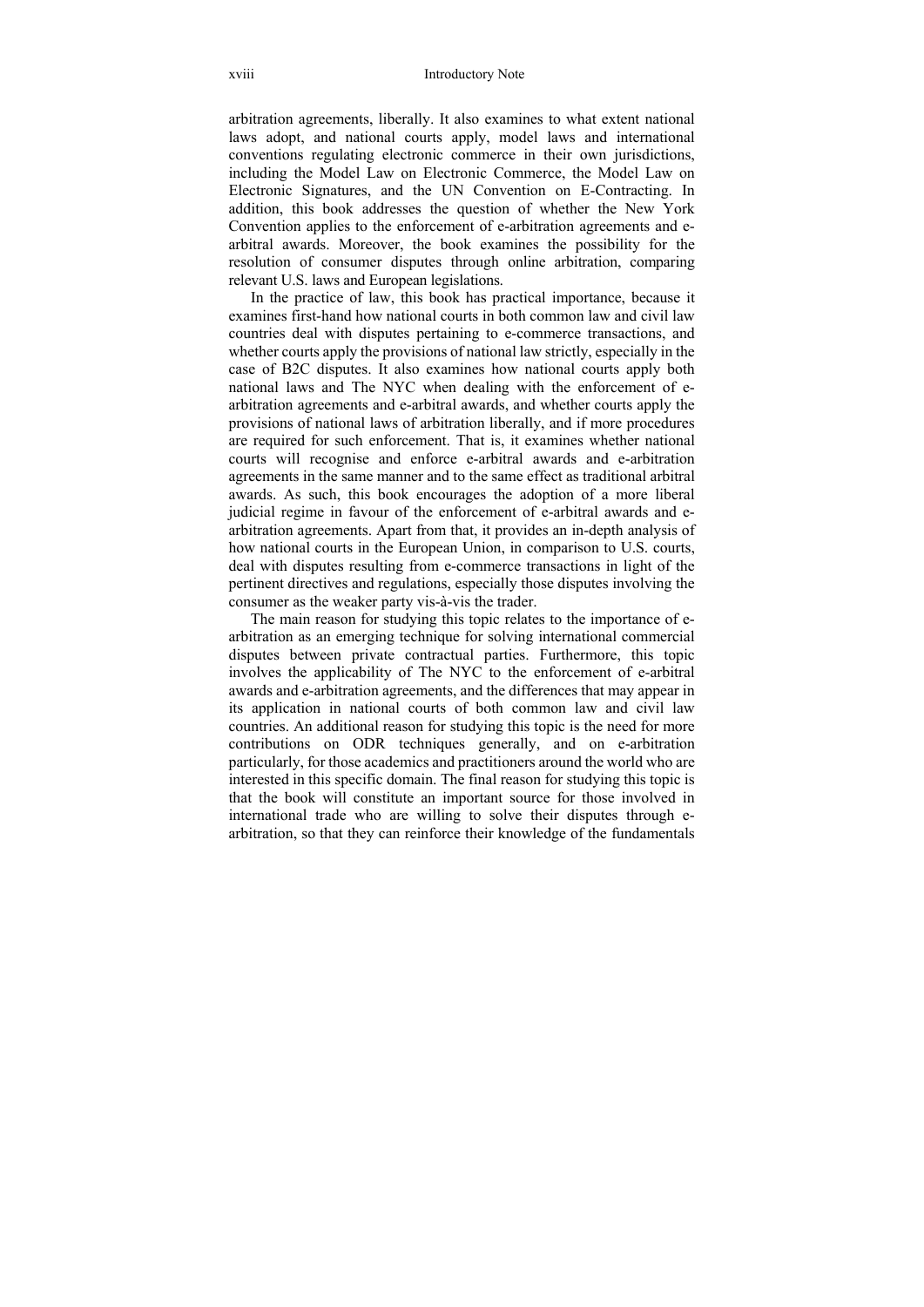arbitration agreements, liberally. It also examines to what extent national laws adopt, and national courts apply, model laws and international conventions regulating electronic commerce in their own jurisdictions, including the Model Law on Electronic Commerce, the Model Law on Electronic Signatures, and the UN Convention on E-Contracting. In addition, this book addresses the question of whether the New York Convention applies to the enforcement of e-arbitration agreements and earbitral awards. Moreover, the book examines the possibility for the resolution of consumer disputes through online arbitration, comparing relevant U.S. laws and European legislations.

In the practice of law, this book has practical importance, because it examines first-hand how national courts in both common law and civil law countries deal with disputes pertaining to e-commerce transactions, and whether courts apply the provisions of national law strictly, especially in the case of B2C disputes. It also examines how national courts apply both national laws and The NYC when dealing with the enforcement of earbitration agreements and e-arbitral awards, and whether courts apply the provisions of national laws of arbitration liberally, and if more procedures are required for such enforcement. That is, it examines whether national courts will recognise and enforce e-arbitral awards and e-arbitration agreements in the same manner and to the same effect as traditional arbitral awards. As such, this book encourages the adoption of a more liberal judicial regime in favour of the enforcement of e-arbitral awards and earbitration agreements. Apart from that, it provides an in-depth analysis of how national courts in the European Union, in comparison to U.S. courts, deal with disputes resulting from e-commerce transactions in light of the pertinent directives and regulations, especially those disputes involving the consumer as the weaker party vis-à-vis the trader.

The main reason for studying this topic relates to the importance of earbitration as an emerging technique for solving international commercial disputes between private contractual parties. Furthermore, this topic involves the applicability of The NYC to the enforcement of e-arbitral awards and e-arbitration agreements, and the differences that may appear in its application in national courts of both common law and civil law countries. An additional reason for studying this topic is the need for more contributions on ODR techniques generally, and on e-arbitration particularly, for those academics and practitioners around the world who are interested in this specific domain. The final reason for studying this topic is that the book will constitute an important source for those involved in international trade who are willing to solve their disputes through earbitration, so that they can reinforce their knowledge of the fundamentals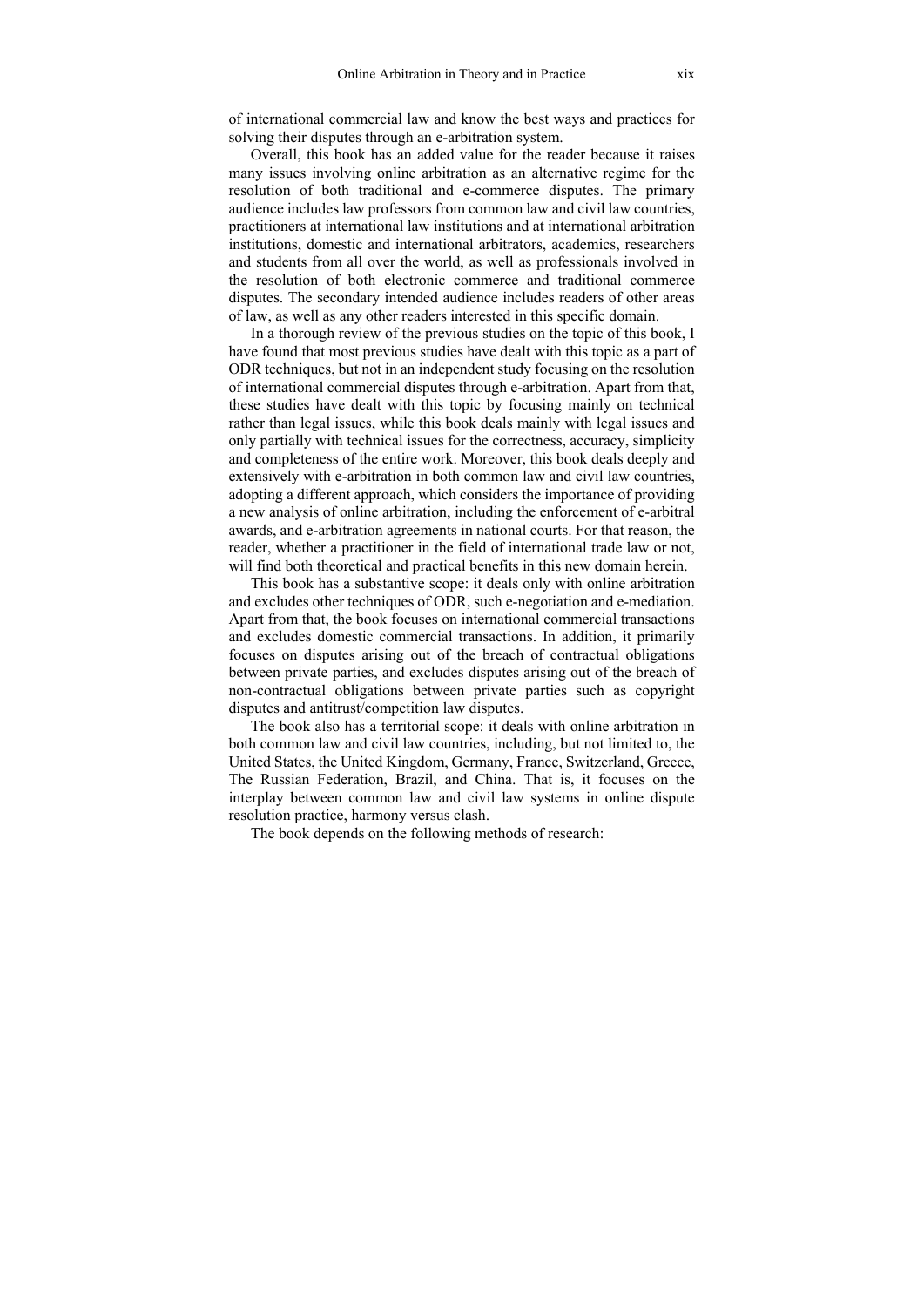of international commercial law and know the best ways and practices for solving their disputes through an e-arbitration system.

Overall, this book has an added value for the reader because it raises many issues involving online arbitration as an alternative regime for the resolution of both traditional and e-commerce disputes. The primary audience includes law professors from common law and civil law countries, practitioners at international law institutions and at international arbitration institutions, domestic and international arbitrators, academics, researchers and students from all over the world, as well as professionals involved in the resolution of both electronic commerce and traditional commerce disputes. The secondary intended audience includes readers of other areas of law, as well as any other readers interested in this specific domain.

In a thorough review of the previous studies on the topic of this book, I have found that most previous studies have dealt with this topic as a part of ODR techniques, but not in an independent study focusing on the resolution of international commercial disputes through e-arbitration. Apart from that, these studies have dealt with this topic by focusing mainly on technical rather than legal issues, while this book deals mainly with legal issues and only partially with technical issues for the correctness, accuracy, simplicity and completeness of the entire work. Moreover, this book deals deeply and extensively with e-arbitration in both common law and civil law countries, adopting a different approach, which considers the importance of providing a new analysis of online arbitration, including the enforcement of e-arbitral awards, and e-arbitration agreements in national courts. For that reason, the reader, whether a practitioner in the field of international trade law or not, will find both theoretical and practical benefits in this new domain herein.

This book has a substantive scope: it deals only with online arbitration and excludes other techniques of ODR, such e-negotiation and e-mediation. Apart from that, the book focuses on international commercial transactions and excludes domestic commercial transactions. In addition, it primarily focuses on disputes arising out of the breach of contractual obligations between private parties, and excludes disputes arising out of the breach of non-contractual obligations between private parties such as copyright disputes and antitrust/competition law disputes.

The book also has a territorial scope: it deals with online arbitration in both common law and civil law countries, including, but not limited to, the United States, the United Kingdom, Germany, France, Switzerland, Greece, The Russian Federation, Brazil, and China. That is, it focuses on the interplay between common law and civil law systems in online dispute resolution practice, harmony versus clash.

The book depends on the following methods of research: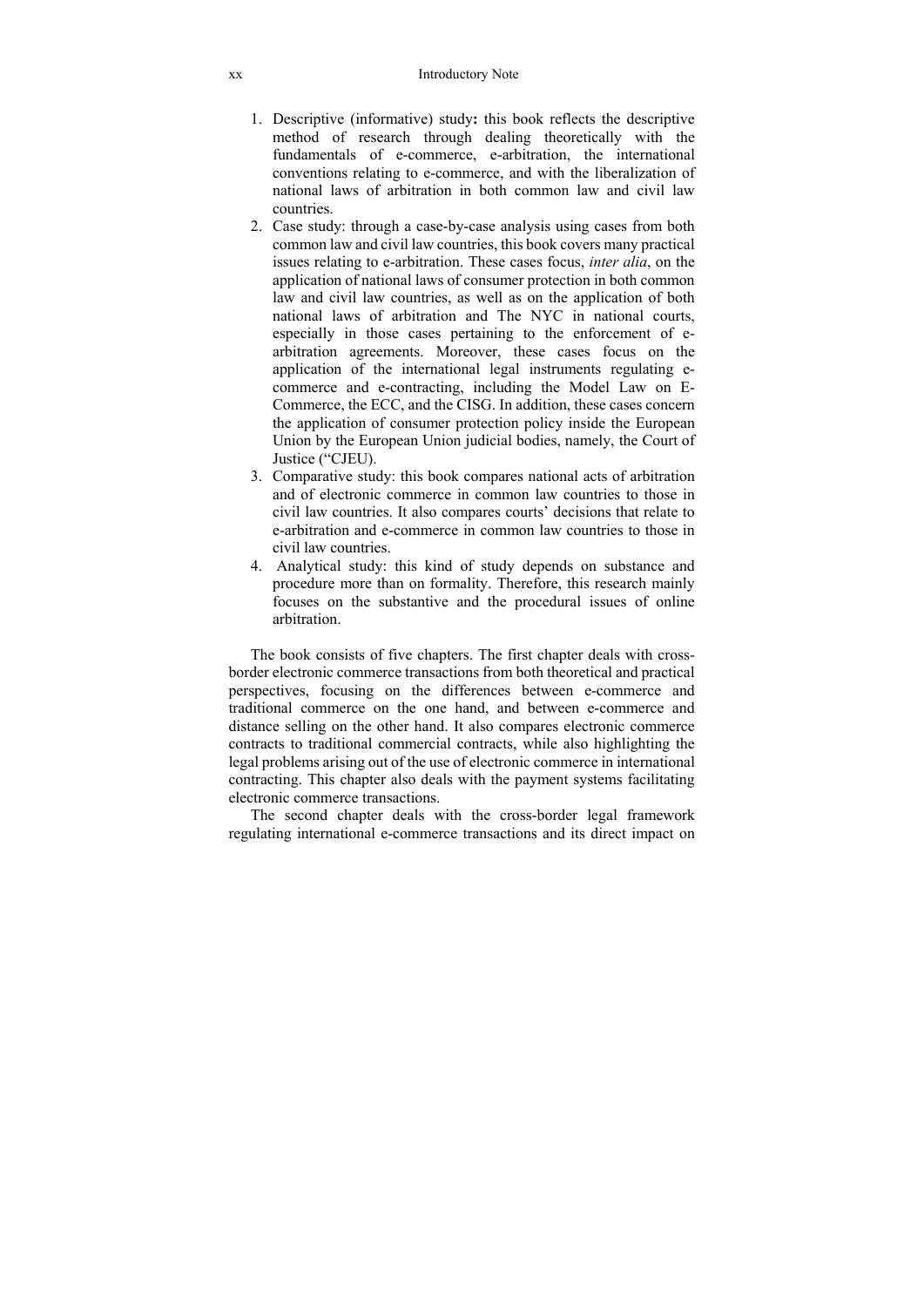- 1. Descriptive (informative) study**:** this book reflects the descriptive method of research through dealing theoretically with the fundamentals of e-commerce, e-arbitration, the international conventions relating to e-commerce, and with the liberalization of national laws of arbitration in both common law and civil law countries.
- 2. Case study: through a case-by-case analysis using cases from both common law and civil law countries, this book covers many practical issues relating to e-arbitration. These cases focus, *inter alia*, on the application of national laws of consumer protection in both common law and civil law countries, as well as on the application of both national laws of arbitration and The NYC in national courts, especially in those cases pertaining to the enforcement of earbitration agreements. Moreover, these cases focus on the application of the international legal instruments regulating ecommerce and e-contracting, including the Model Law on E-Commerce, the ECC, and the CISG. In addition, these cases concern the application of consumer protection policy inside the European Union by the European Union judicial bodies, namely, the Court of Justice ("CJEU).
- 3. Comparative study: this book compares national acts of arbitration and of electronic commerce in common law countries to those in civil law countries. It also compares courts' decisions that relate to e-arbitration and e-commerce in common law countries to those in civil law countries.
- 4. Analytical study: this kind of study depends on substance and procedure more than on formality. Therefore, this research mainly focuses on the substantive and the procedural issues of online arbitration.

The book consists of five chapters. The first chapter deals with crossborder electronic commerce transactions from both theoretical and practical perspectives, focusing on the differences between e-commerce and traditional commerce on the one hand, and between e-commerce and distance selling on the other hand. It also compares electronic commerce contracts to traditional commercial contracts, while also highlighting the legal problems arising out of the use of electronic commerce in international contracting. This chapter also deals with the payment systems facilitating electronic commerce transactions.

The second chapter deals with the cross-border legal framework regulating international e-commerce transactions and its direct impact on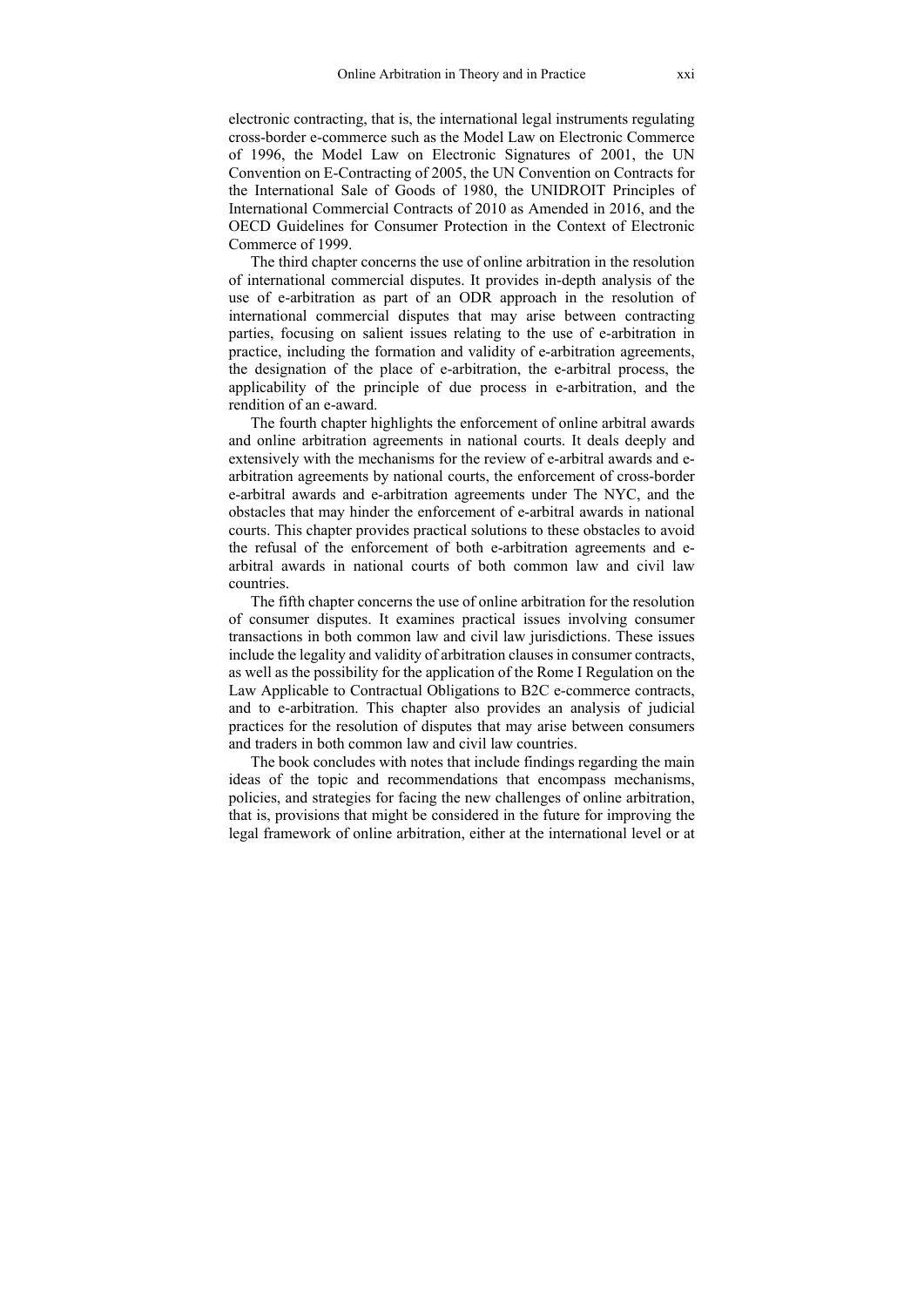electronic contracting, that is, the international legal instruments regulating cross-border e-commerce such as the Model Law on Electronic Commerce of 1996, the Model Law on Electronic Signatures of 2001, the UN Convention on E-Contracting of 2005, the UN Convention on Contracts for the International Sale of Goods of 1980, the UNIDROIT Principles of International Commercial Contracts of 2010 as Amended in 2016, and the OECD Guidelines for Consumer Protection in the Context of Electronic Commerce of 1999.

The third chapter concerns the use of online arbitration in the resolution of international commercial disputes. It provides in-depth analysis of the use of e-arbitration as part of an ODR approach in the resolution of international commercial disputes that may arise between contracting parties, focusing on salient issues relating to the use of e-arbitration in practice, including the formation and validity of e-arbitration agreements, the designation of the place of e-arbitration, the e-arbitral process, the applicability of the principle of due process in e-arbitration, and the rendition of an e-award.

The fourth chapter highlights the enforcement of online arbitral awards and online arbitration agreements in national courts. It deals deeply and extensively with the mechanisms for the review of e-arbitral awards and earbitration agreements by national courts, the enforcement of cross-border e-arbitral awards and e-arbitration agreements under The NYC, and the obstacles that may hinder the enforcement of e-arbitral awards in national courts. This chapter provides practical solutions to these obstacles to avoid the refusal of the enforcement of both e-arbitration agreements and earbitral awards in national courts of both common law and civil law countries.

The fifth chapter concerns the use of online arbitration for the resolution of consumer disputes. It examines practical issues involving consumer transactions in both common law and civil law jurisdictions. These issues include the legality and validity of arbitration clauses in consumer contracts, as well as the possibility for the application of the Rome I Regulation on the Law Applicable to Contractual Obligations to B2C e-commerce contracts, and to e-arbitration. This chapter also provides an analysis of judicial practices for the resolution of disputes that may arise between consumers and traders in both common law and civil law countries.

The book concludes with notes that include findings regarding the main ideas of the topic and recommendations that encompass mechanisms, policies, and strategies for facing the new challenges of online arbitration, that is, provisions that might be considered in the future for improving the legal framework of online arbitration, either at the international level or at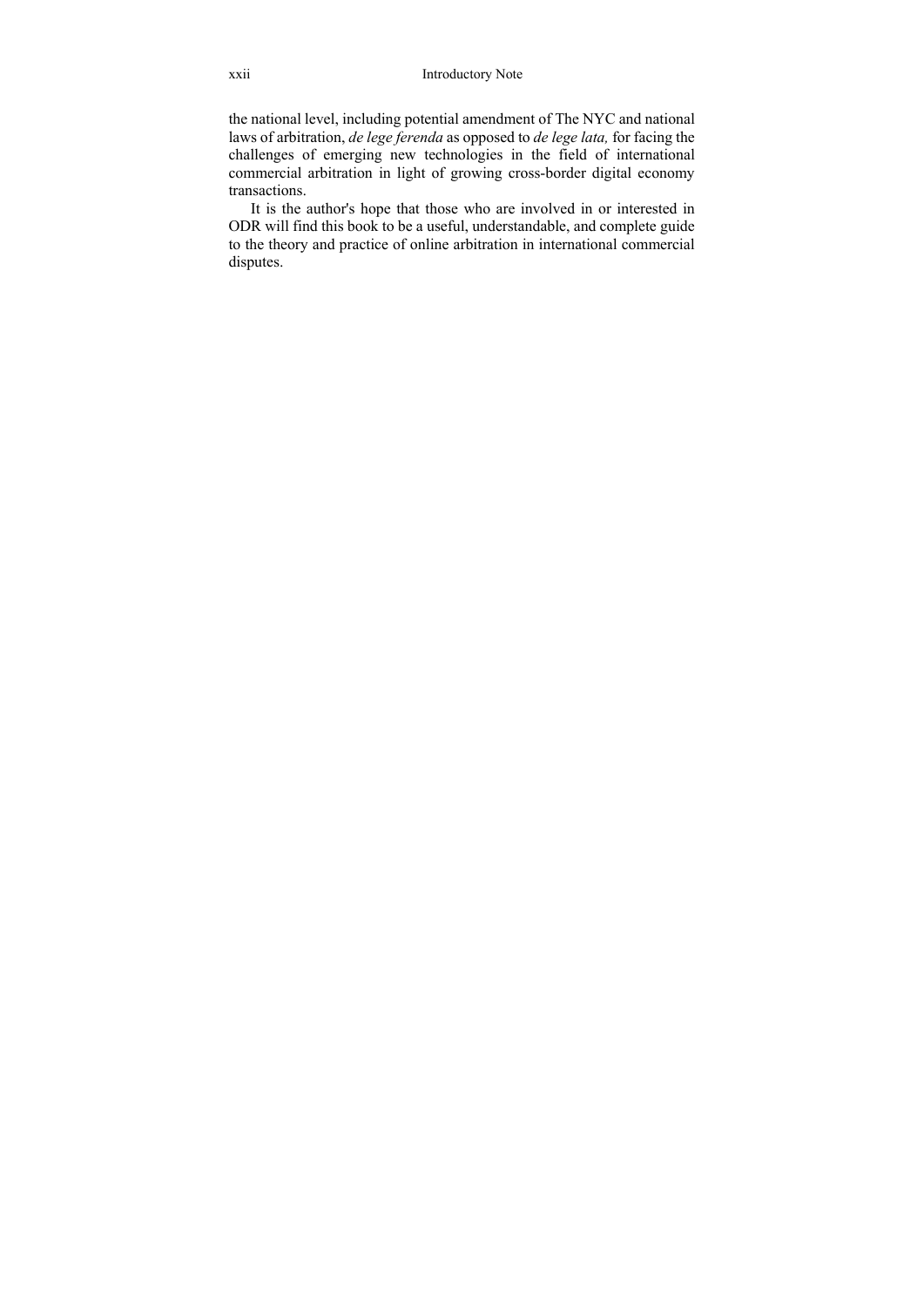the national level, including potential amendment of The NYC and national laws of arbitration, *de lege ferenda* as opposed to *de lege lata,* for facing the challenges of emerging new technologies in the field of international commercial arbitration in light of growing cross-border digital economy transactions.

It is the author's hope that those who are involved in or interested in ODR will find this book to be a useful, understandable, and complete guide to the theory and practice of online arbitration in international commercial disputes.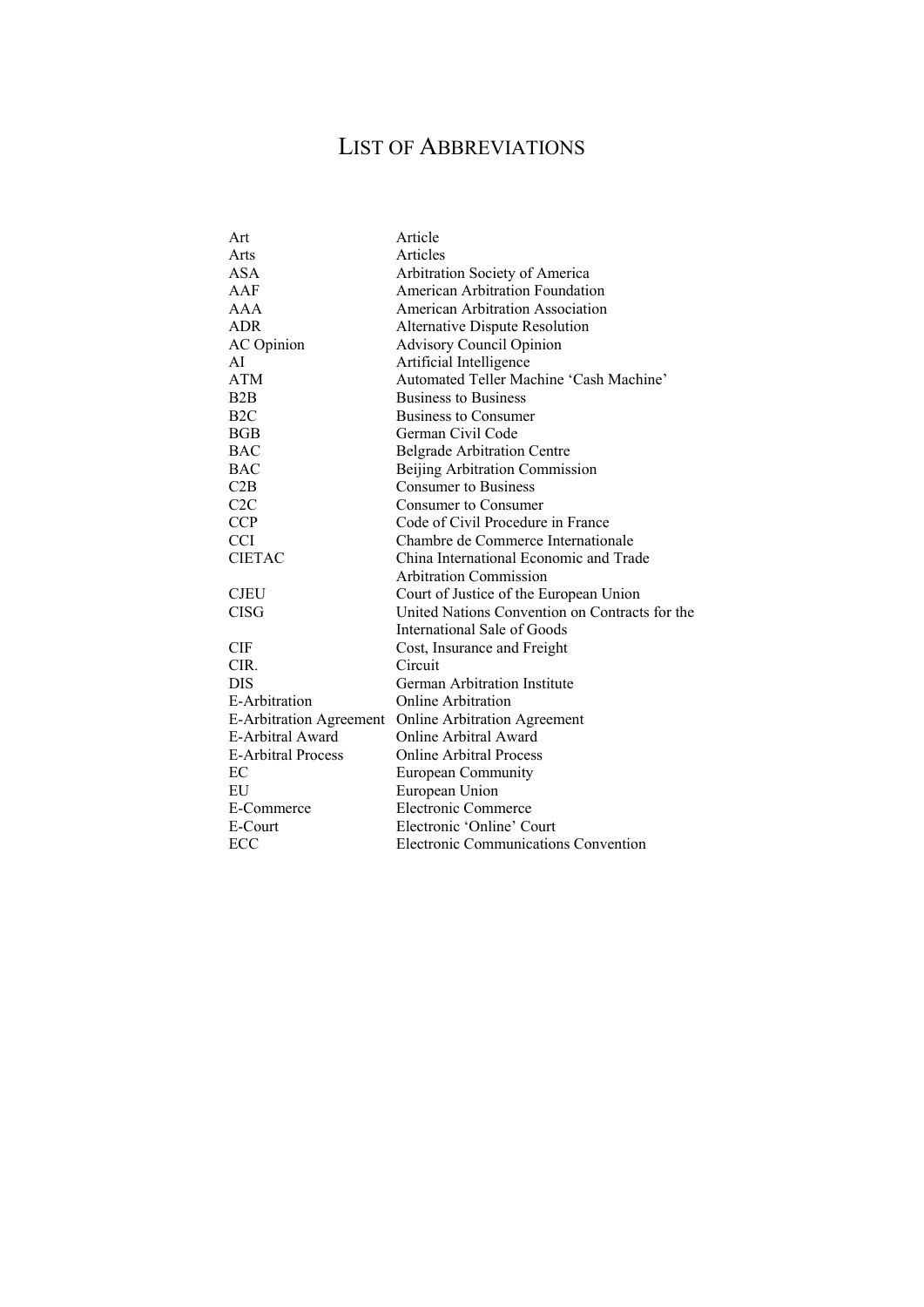## LIST OF ABBREVIATIONS

| Art                       | Article                                        |
|---------------------------|------------------------------------------------|
| Arts                      | Articles                                       |
| <b>ASA</b>                | Arbitration Society of America                 |
| AAF                       | American Arbitration Foundation                |
| AAA                       | American Arbitration Association               |
| <b>ADR</b>                | <b>Alternative Dispute Resolution</b>          |
| <b>AC</b> Opinion         | <b>Advisory Council Opinion</b>                |
| AĪ                        | Artificial Intelligence                        |
| <b>ATM</b>                | Automated Teller Machine 'Cash Machine'        |
| B2B                       | <b>Business to Business</b>                    |
| B <sub>2</sub> C          | Business to Consumer                           |
| BGB                       | German Civil Code                              |
| <b>BAC</b>                | <b>Belgrade Arbitration Centre</b>             |
| <b>BAC</b>                | Beijing Arbitration Commission                 |
| C2B                       | <b>Consumer to Business</b>                    |
| C2C                       | Consumer to Consumer                           |
| <b>CCP</b>                | Code of Civil Procedure in France              |
| <b>CCI</b>                | Chambre de Commerce Internationale             |
| <b>CIETAC</b>             | China International Economic and Trade         |
|                           | <b>Arbitration Commission</b>                  |
| <b>CJEU</b>               | Court of Justice of the European Union         |
| <b>CISG</b>               | United Nations Convention on Contracts for the |
|                           | International Sale of Goods                    |
| CIF                       | Cost, Insurance and Freight                    |
| CIR.                      | Circuit                                        |
| <b>DIS</b>                | German Arbitration Institute                   |
| E-Arbitration             | Online Arbitration                             |
| E-Arbitration Agreement   | <b>Online Arbitration Agreement</b>            |
| E-Arbitral Award          | Online Arbitral Award                          |
| <b>E-Arbitral Process</b> | <b>Online Arbitral Process</b>                 |
| EC                        | European Community                             |
| EU                        | European Union                                 |
| E-Commerce                | Electronic Commerce                            |
| E-Court                   | Electronic 'Online' Court                      |
| ECC                       | Electronic Communications Convention           |
|                           |                                                |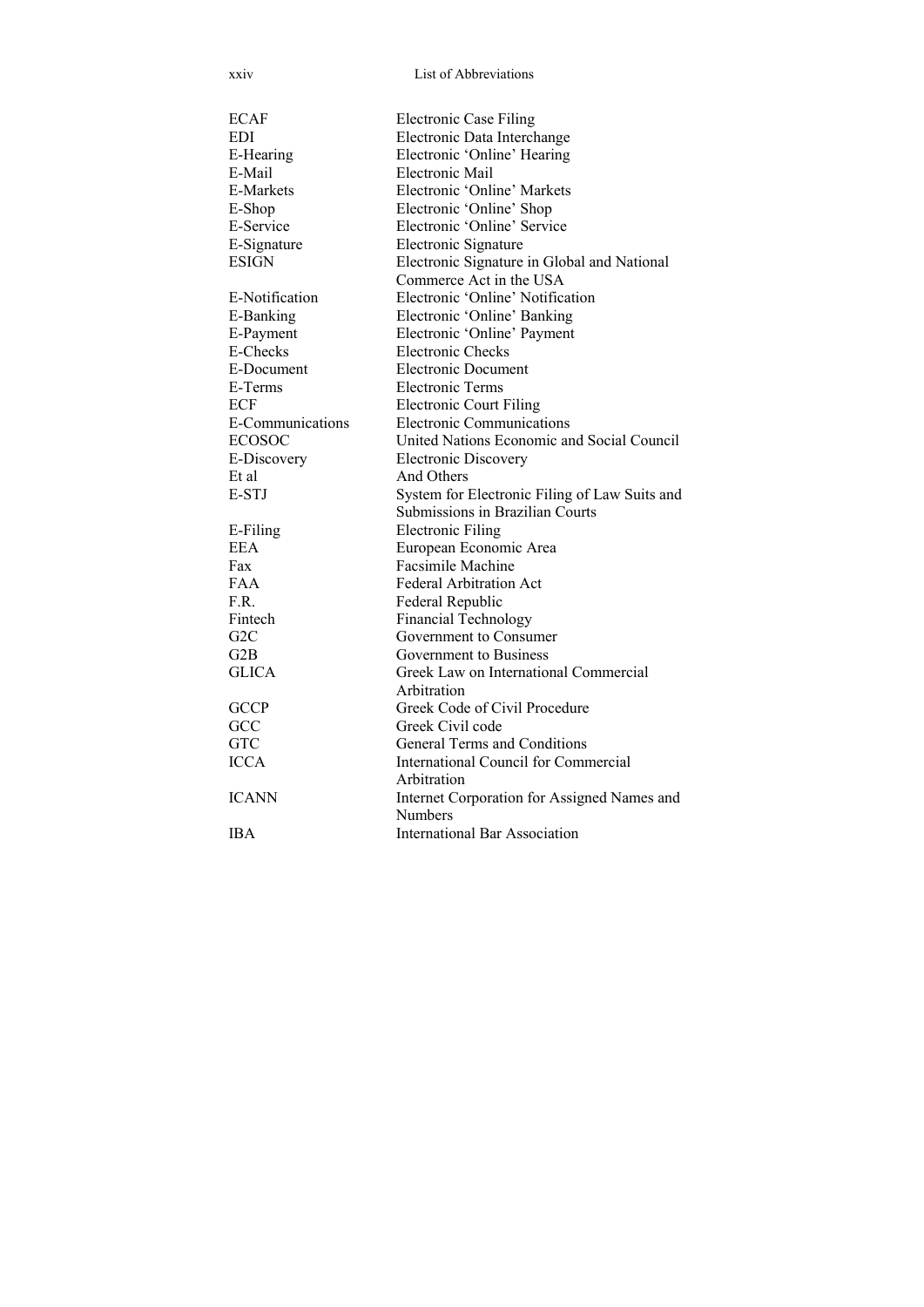xxiv List of Abbreviations

| <b>ECAF</b>      | <b>Electronic Case Filing</b>                 |
|------------------|-----------------------------------------------|
| EDI              | Electronic Data Interchange                   |
| E-Hearing        | Electronic 'Online' Hearing                   |
| E-Mail           | Electronic Mail                               |
| <b>E-Markets</b> | Electronic 'Online' Markets                   |
| E-Shop           | Electronic 'Online' Shop                      |
| E-Service        | Electronic 'Online' Service                   |
| E-Signature      | Electronic Signature                          |
| <b>ESIGN</b>     | Electronic Signature in Global and National   |
|                  | Commerce Act in the USA                       |
| E-Notification   | Electronic 'Online' Notification              |
| E-Banking        | Electronic 'Online' Banking                   |
| E-Payment        | Electronic 'Online' Payment                   |
| E-Checks         | <b>Electronic Checks</b>                      |
| E-Document       | Electronic Document                           |
| E-Terms          | <b>Electronic Terms</b>                       |
| <b>ECF</b>       | <b>Electronic Court Filing</b>                |
| E-Communications | <b>Electronic Communications</b>              |
| <b>ECOSOC</b>    | United Nations Economic and Social Council    |
| E-Discovery      | <b>Electronic Discovery</b>                   |
| Et al            | And Others                                    |
| E-STJ            | System for Electronic Filing of Law Suits and |
|                  | Submissions in Brazilian Courts               |
| E-Filing         | <b>Electronic Filing</b>                      |
| <b>EEA</b>       | European Economic Area                        |
| Fax              | Facsimile Machine                             |
| FAA              | <b>Federal Arbitration Act</b>                |
| F.R.             | Federal Republic                              |
| Fintech          | <b>Financial Technology</b>                   |
| G <sub>2</sub> C | Government to Consumer                        |
| G2B              | Government to Business                        |
| <b>GLICA</b>     | Greek Law on International Commercial         |
|                  | Arbitration                                   |
| <b>GCCP</b>      | Greek Code of Civil Procedure                 |
| GCC              | Greek Civil code                              |
| <b>GTC</b>       | General Terms and Conditions                  |
| <b>ICCA</b>      | International Council for Commercial          |
|                  | Arbitration                                   |
| <b>ICANN</b>     | Internet Corporation for Assigned Names and   |
|                  | Numbers                                       |
| <b>IBA</b>       | <b>International Bar Association</b>          |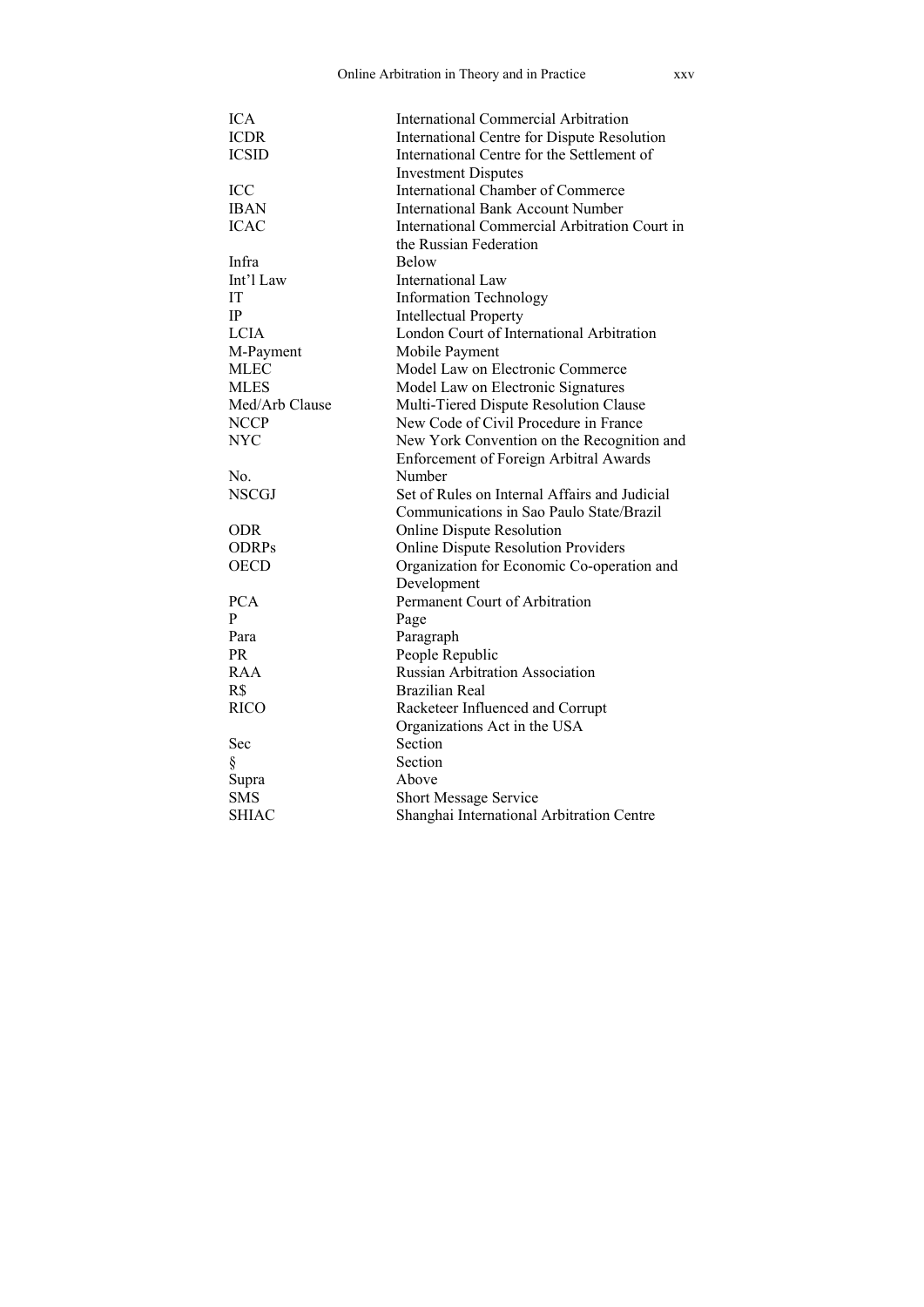| <b>ICA</b>     | <b>International Commercial Arbitration</b>   |
|----------------|-----------------------------------------------|
| <b>ICDR</b>    | International Centre for Dispute Resolution   |
| <b>ICSID</b>   | International Centre for the Settlement of    |
|                | <b>Investment Disputes</b>                    |
| ICC            | International Chamber of Commerce             |
| <b>IBAN</b>    | <b>International Bank Account Number</b>      |
| <b>ICAC</b>    | International Commercial Arbitration Court in |
|                | the Russian Federation                        |
| Infra          | <b>Below</b>                                  |
| Int'l Law      | International Law                             |
| IT             | <b>Information Technology</b>                 |
| IP             | <b>Intellectual Property</b>                  |
| <b>LCIA</b>    | London Court of International Arbitration     |
| M-Payment      | Mobile Payment                                |
| MLEC           | Model Law on Electronic Commerce              |
| <b>MLES</b>    | Model Law on Electronic Signatures            |
| Med/Arb Clause | Multi-Tiered Dispute Resolution Clause        |
| <b>NCCP</b>    | New Code of Civil Procedure in France         |
| NYC            | New York Convention on the Recognition and    |
|                | <b>Enforcement of Foreign Arbitral Awards</b> |
| No.            | Number                                        |
| <b>NSCGJ</b>   | Set of Rules on Internal Affairs and Judicial |
|                | Communications in Sao Paulo State/Brazil      |
| <b>ODR</b>     | Online Dispute Resolution                     |
| <b>ODRPs</b>   | <b>Online Dispute Resolution Providers</b>    |
| <b>OECD</b>    | Organization for Economic Co-operation and    |
|                | Development                                   |
| <b>PCA</b>     | Permanent Court of Arbitration                |
| P              | Page                                          |
| Para           | Paragraph                                     |
| <b>PR</b>      | People Republic                               |
| <b>RAA</b>     | Russian Arbitration Association               |
| R\$            | <b>Brazilian Real</b>                         |
| <b>RICO</b>    | Racketeer Influenced and Corrupt              |
|                | Organizations Act in the USA                  |
| Sec            | Section                                       |
| $\S$           | Section                                       |
| Supra          | Above                                         |
| <b>SMS</b>     | Short Message Service                         |
| <b>SHIAC</b>   | Shanghai International Arbitration Centre     |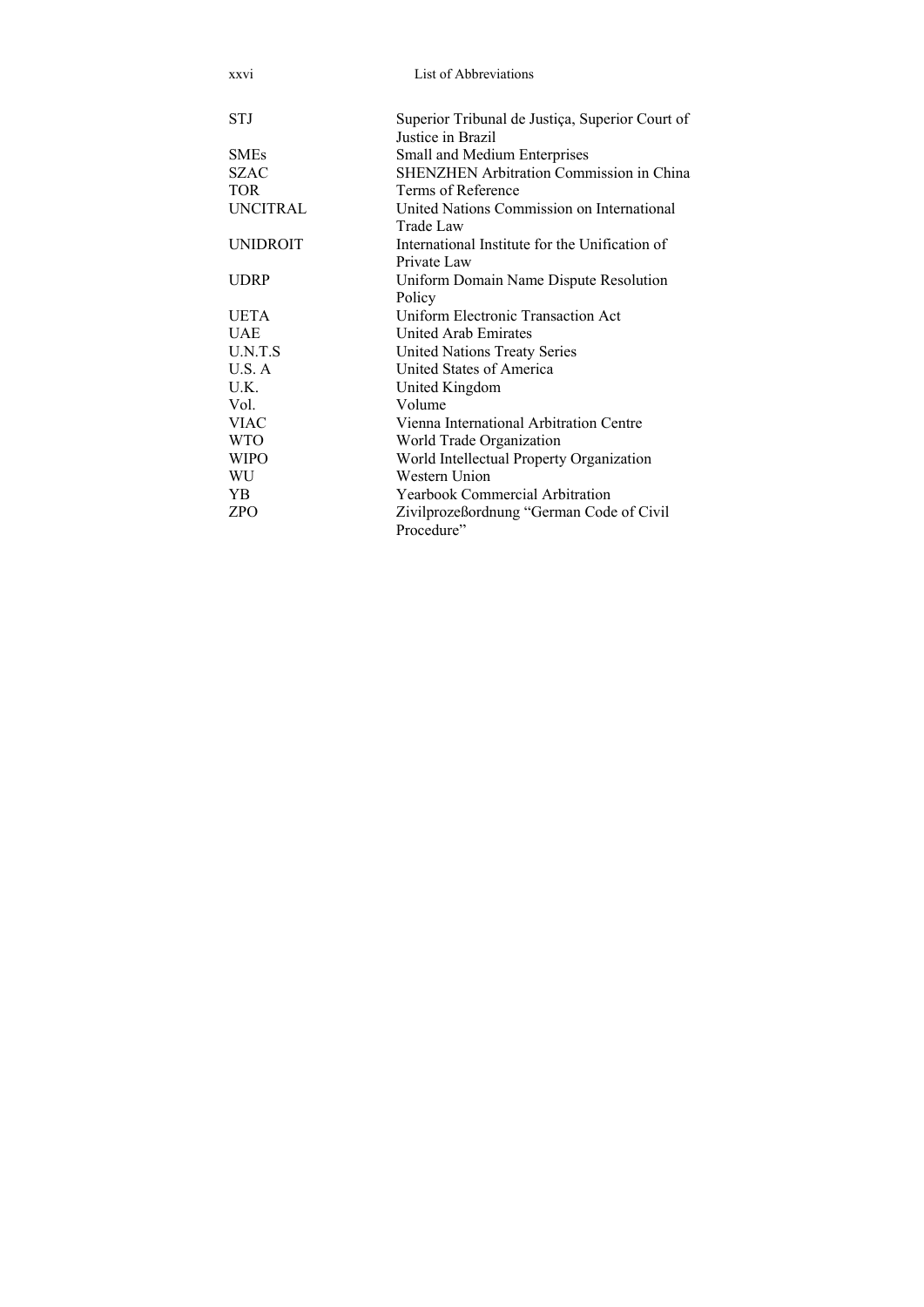| xxvi            | List of Abbreviations                                                |
|-----------------|----------------------------------------------------------------------|
| <b>STJ</b>      | Superior Tribunal de Justiça, Superior Court of<br>Justice in Brazil |
| <b>SMEs</b>     | Small and Medium Enterprises                                         |
| <b>SZAC</b>     | <b>SHENZHEN Arbitration Commission in China</b>                      |
| <b>TOR</b>      | Terms of Reference                                                   |
| <b>UNCITRAL</b> | United Nations Commission on International<br>Trade Law              |
| <b>UNIDROIT</b> | International Institute for the Unification of<br>Private Law        |
| <b>UDRP</b>     | Uniform Domain Name Dispute Resolution<br>Policy                     |
| <b>UETA</b>     | Uniform Electronic Transaction Act                                   |
| <b>UAE</b>      | United Arab Emirates                                                 |
| U.N.T.S         | <b>United Nations Treaty Series</b>                                  |
| U.S. A          | United States of America                                             |
| U.K.            | United Kingdom                                                       |
| Vol.            | Volume                                                               |
| <b>VIAC</b>     | Vienna International Arbitration Centre                              |
| <b>WTO</b>      | World Trade Organization                                             |
| <b>WIPO</b>     | World Intellectual Property Organization                             |
| WU              | Western Union                                                        |
| YB.             | <b>Yearbook Commercial Arbitration</b>                               |
| ZPO             | Zivilprozeßordnung "German Code of Civil<br>Procedure"               |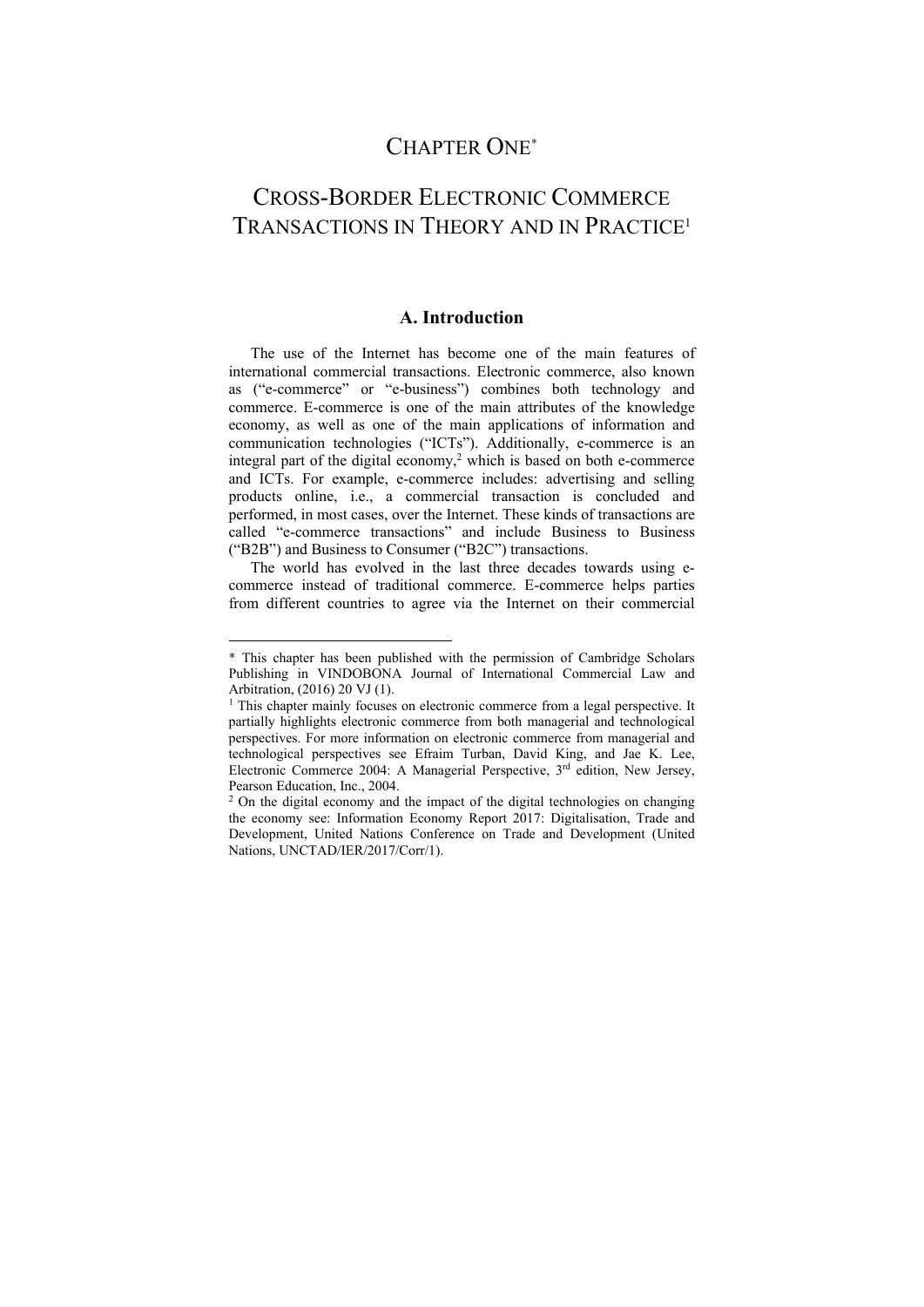## CHAPTER ONE\*

## CROSS-BORDER ELECTRONIC COMMERCE TRANSACTIONS IN THEORY AND IN PRACTICE1

#### **A. Introduction**

The use of the Internet has become one of the main features of international commercial transactions. Electronic commerce, also known as ("e-commerce" or "e-business") combines both technology and commerce. E-commerce is one of the main attributes of the knowledge economy, as well as one of the main applications of information and communication technologies ("ICTs"). Additionally, e-commerce is an integral part of the digital economy, $2$  which is based on both e-commerce and ICTs. For example, e-commerce includes: advertising and selling products online, i.e., a commercial transaction is concluded and performed, in most cases, over the Internet. These kinds of transactions are called "e-commerce transactions" and include Business to Business ("B2B") and Business to Consumer ("B2C") transactions.

The world has evolved in the last three decades towards using ecommerce instead of traditional commerce. E-commerce helps parties from different countries to agree via the Internet on their commercial

1

<sup>\*</sup> This chapter has been published with the permission of Cambridge Scholars Publishing in VINDOBONA Journal of International Commercial Law and Arbitration, (2016) 20 VJ (1).

<sup>&</sup>lt;sup>1</sup> This chapter mainly focuses on electronic commerce from a legal perspective. It partially highlights electronic commerce from both managerial and technological perspectives. For more information on electronic commerce from managerial and technological perspectives see Efraim Turban, David King, and Jae K. Lee, Electronic Commerce 2004: A Managerial Perspective, 3<sup>rd</sup> edition, New Jersey, Pearson Education, Inc., 2004.<br><sup>2</sup> On the digital economy and the impact of the digital technologies on changing

the economy see: Information Economy Report 2017: Digitalisation, Trade and Development, United Nations Conference on Trade and Development (United Nations, UNCTAD/IER/2017/Corr/1).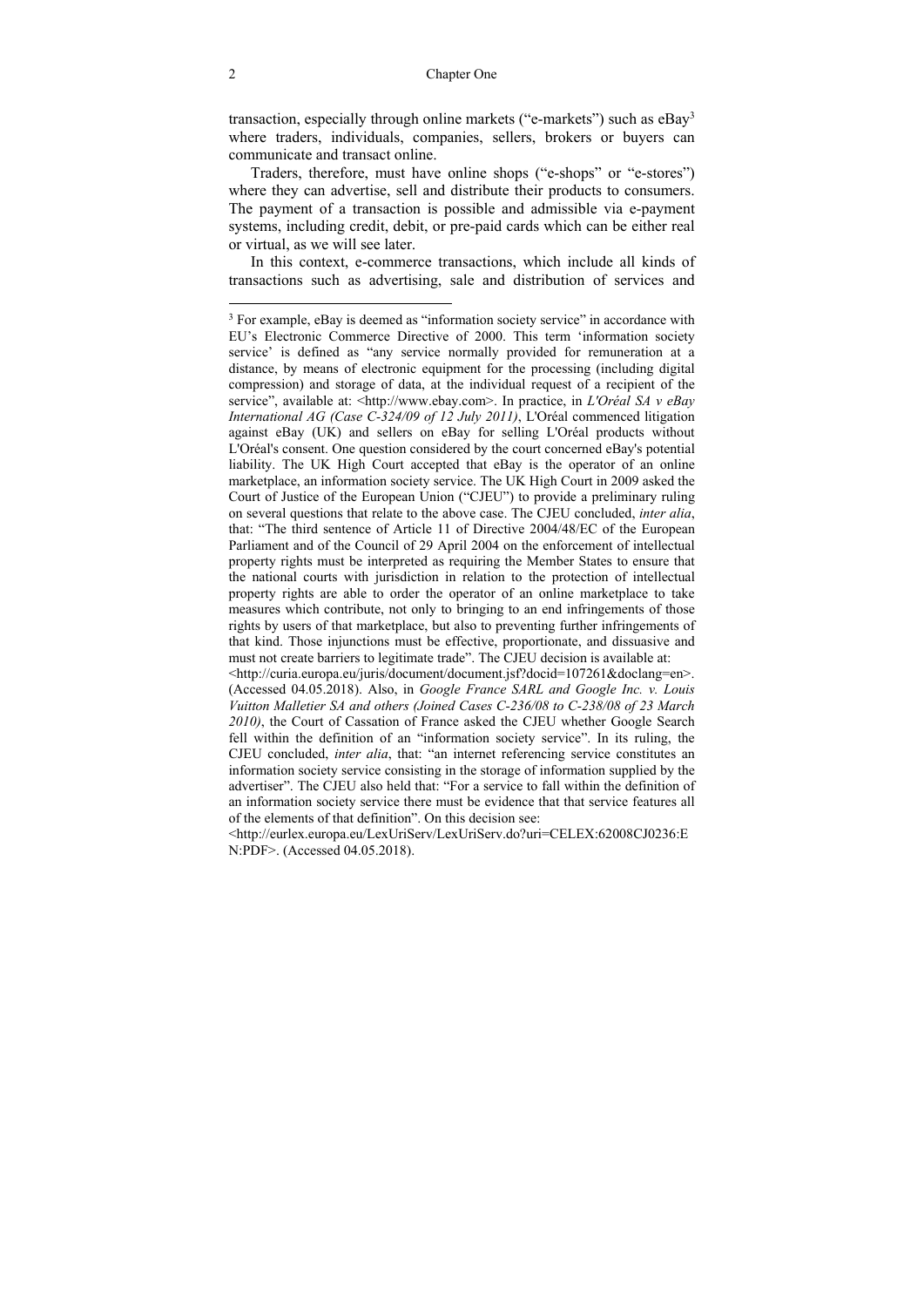transaction, especially through online markets ("e-markets") such as eBay3 where traders, individuals, companies, sellers, brokers or buyers can communicate and transact online.

Traders, therefore, must have online shops ("e-shops" or "e-stores") where they can advertise, sell and distribute their products to consumers. The payment of a transaction is possible and admissible via e-payment systems, including credit, debit, or pre-paid cards which can be either real or virtual, as we will see later.

In this context, e-commerce transactions, which include all kinds of transactions such as advertising, sale and distribution of services and

 $\overline{a}$ 

<sup>&</sup>lt;sup>3</sup> For example, eBay is deemed as "information society service" in accordance with EU's Electronic Commerce Directive of 2000. This term 'information society service' is defined as "any service normally provided for remuneration at a distance, by means of electronic equipment for the processing (including digital compression) and storage of data, at the individual request of a recipient of the service", available at: <http://www.ebay.com>. In practice, in *L'Oréal SA v eBay International AG (Case C-324/09 of 12 July 2011)*, L'Oréal commenced litigation against eBay (UK) and sellers on eBay for selling L'Oréal products without L'Oréal's consent. One question considered by the court concerned eBay's potential liability. The UK High Court accepted that eBay is the operator of an online marketplace, an information society service. The UK High Court in 2009 asked the Court of Justice of the European Union ("CJEU") to provide a preliminary ruling on several questions that relate to the above case. The CJEU concluded, *inter alia*, that: "The third sentence of Article 11 of Directive 2004/48/EC of the European Parliament and of the Council of 29 April 2004 on the enforcement of intellectual property rights must be interpreted as requiring the Member States to ensure that the national courts with jurisdiction in relation to the protection of intellectual property rights are able to order the operator of an online marketplace to take measures which contribute, not only to bringing to an end infringements of those rights by users of that marketplace, but also to preventing further infringements of that kind. Those injunctions must be effective, proportionate, and dissuasive and must not create barriers to legitimate trade". The CJEU decision is available at:

<sup>&</sup>lt;http://curia.europa.eu/juris/document/document.jsf?docid=107261&doclang=en>. (Accessed 04.05.2018). Also, in *Google France SARL and Google Inc. v. Louis Vuitton Malletier SA and others (Joined Cases C-236/08 to C-238/08 of 23 March 2010)*, the Court of Cassation of France asked the CJEU whether Google Search fell within the definition of an "information society service". In its ruling, the CJEU concluded, *inter alia*, that: "an internet referencing service constitutes an information society service consisting in the storage of information supplied by the advertiser". The CJEU also held that: "For a service to fall within the definition of an information society service there must be evidence that that service features all of the elements of that definition". On this decision see:

<sup>&</sup>lt;http://eurlex.europa.eu/LexUriServ/LexUriServ.do?uri=CELEX:62008CJ0236:E N:PDF>. (Accessed 04.05.2018).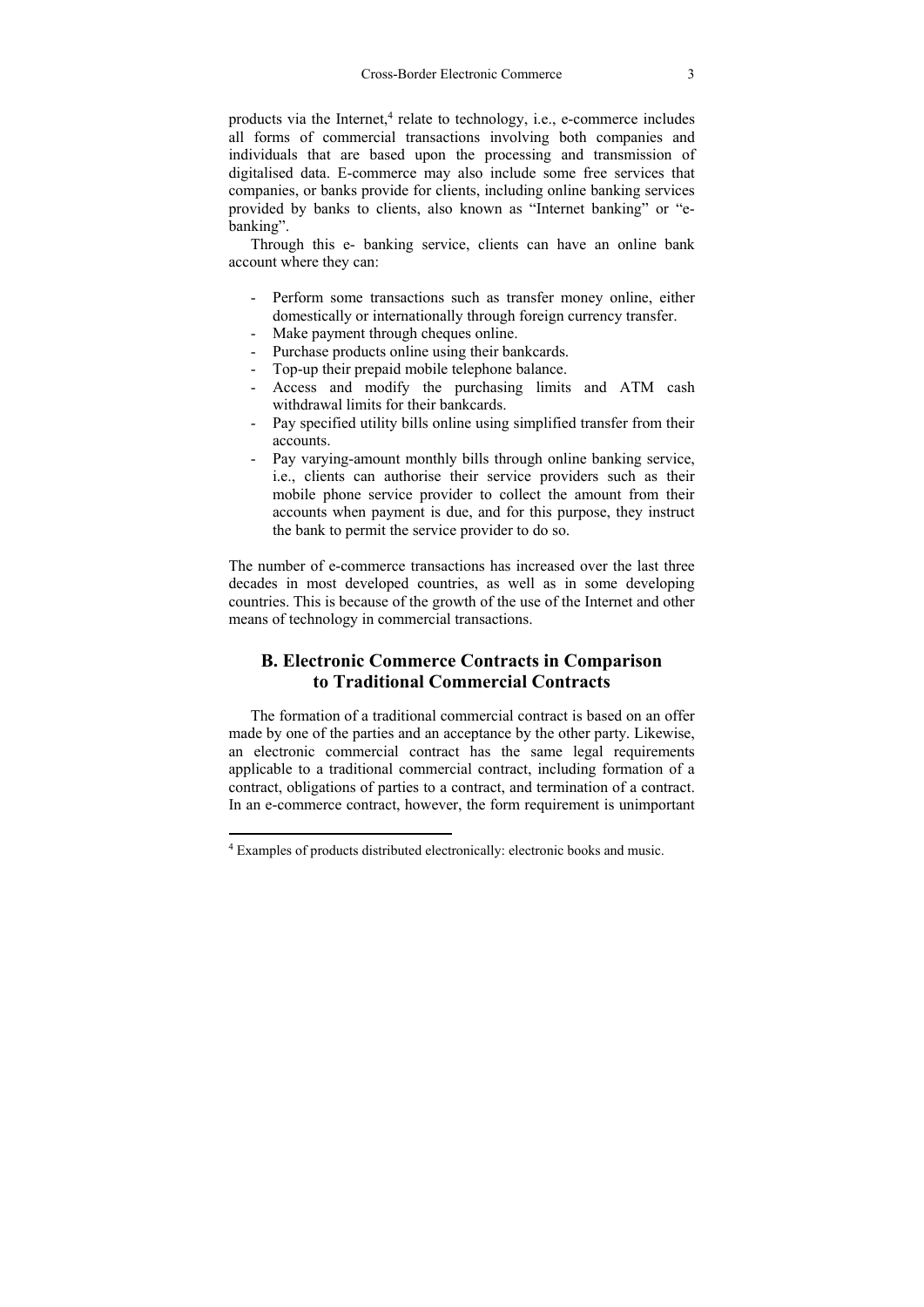products via the Internet,<sup>4</sup> relate to technology, i.e., e-commerce includes all forms of commercial transactions involving both companies and individuals that are based upon the processing and transmission of digitalised data. E-commerce may also include some free services that companies, or banks provide for clients, including online banking services provided by banks to clients, also known as "Internet banking" or "ebanking".

Through this e- banking service, clients can have an online bank account where they can:

- Perform some transactions such as transfer money online, either domestically or internationally through foreign currency transfer.
- Make payment through cheques online.
- Purchase products online using their bankcards.
- Top-up their prepaid mobile telephone balance.
- Access and modify the purchasing limits and ATM cash withdrawal limits for their bankcards.
- Pay specified utility bills online using simplified transfer from their accounts.
- Pay varying-amount monthly bills through online banking service, i.e., clients can authorise their service providers such as their mobile phone service provider to collect the amount from their accounts when payment is due, and for this purpose, they instruct the bank to permit the service provider to do so.

The number of e-commerce transactions has increased over the last three decades in most developed countries, as well as in some developing countries. This is because of the growth of the use of the Internet and other means of technology in commercial transactions.

#### **B. Electronic Commerce Contracts in Comparison to Traditional Commercial Contracts**

The formation of a traditional commercial contract is based on an offer made by one of the parties and an acceptance by the other party. Likewise, an electronic commercial contract has the same legal requirements applicable to a traditional commercial contract, including formation of a contract, obligations of parties to a contract, and termination of a contract. In an e-commerce contract, however, the form requirement is unimportant

 $\overline{a}$ 

<sup>4</sup> Examples of products distributed electronically: electronic books and music.